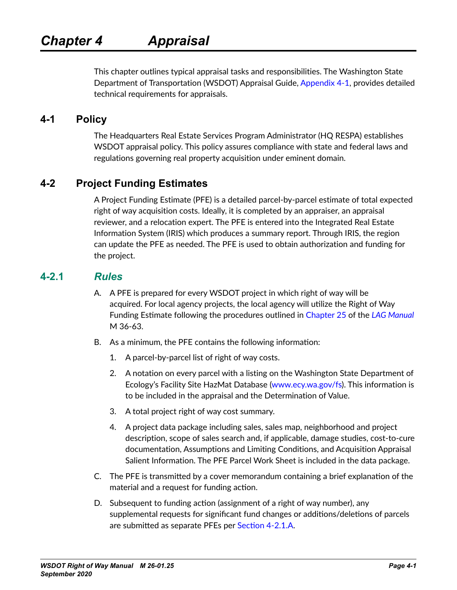<span id="page-0-1"></span>This chapter outlines typical appraisal tasks and responsibilities. The Washington State Department of Transportation (WSDOT) Appraisal Guide, [Appendix 4-1](#page-10-0), provides detailed technical requirements for appraisals.

## **4-1 Policy**

The Headquarters Real Estate Services Program Administrator (HQ RESPA) establishes WSDOT appraisal policy. This policy assures compliance with state and federal laws and regulations governing real property acquisition under eminent domain.

## **4-2 Project Funding Estimates**

A Project Funding Estimate (PFE) is a detailed parcel-by-parcel estimate of total expected right of way acquisition costs. Ideally, it is completed by an appraiser, an appraisal reviewer, and a relocation expert. The PFE is entered into the Integrated Real Estate Information System (IRIS) which produces a summary report. Through IRIS, the region can update the PFE as needed. The PFE is used to obtain authorization and funding for the project.

## **4-2.1** *Rules*

- <span id="page-0-0"></span>A. A PFE is prepared for every WSDOT project in which right of way will be acquired. For local agency projects, the local agency will utilize the Right of Way Funding Estimate following the procedures outlined in [Chapter 25](http://www.wsdot.wa.gov/publications/manuals/fulltext/M36-63/Lag25.pdf) of the *[LAG Manual](http://www.wsdot.wa.gov/Publications/Manuals/M36-63.htm)* M 36-63.
- B. As a minimum, the PFE contains the following information:
	- 1. A parcel-by-parcel list of right of way costs.
	- 2. A notation on every parcel with a listing on the Washington State Department of Ecology's Facility Site HazMat Database [\(www.ecy.wa.gov/fs](http://www.ecy.wa.gov/fs)). This information is to be included in the appraisal and the Determination of Value.
	- 3. A total project right of way cost summary.
	- 4. A project data package including sales, sales map, neighborhood and project description, scope of sales search and, if applicable, damage studies, cost-to-cure documentation, Assumptions and Limiting Conditions, and Acquisition Appraisal Salient Information. The PFE Parcel Work Sheet is included in the data package.
- C. The PFE is transmitted by a cover memorandum containing a brief explanation of the material and a request for funding action.
- D. Subsequent to funding action (assignment of a right of way number), any supplemental requests for significant fund changes or additions/deletions of parcels are submitted as separate PFEs per [Section 4-2.1.A](#page-0-0).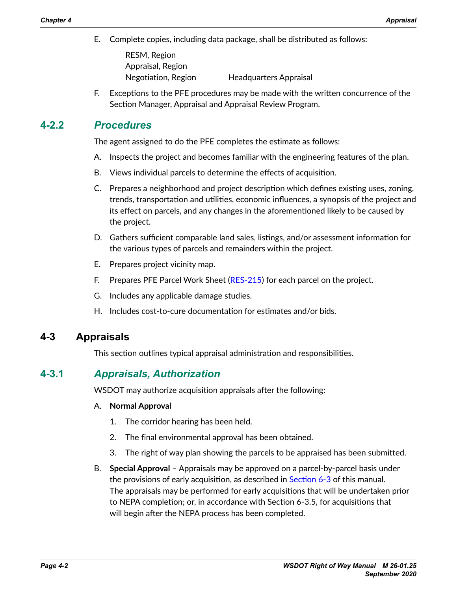E. Complete copies, including data package, shall be distributed as follows:

RESM, Region Appraisal, Region Negotiation, Region Headquarters Appraisal

F. Exceptions to the PFE procedures may be made with the written concurrence of the Section Manager, Appraisal and Appraisal Review Program.

## **4-2.2** *Procedures*

The agent assigned to do the PFE completes the estimate as follows:

- A. Inspects the project and becomes familiar with the engineering features of the plan.
- B. Views individual parcels to determine the effects of acquisition.
- C. Prepares a neighborhood and project description which defines existing uses, zoning, trends, transportation and utilities, economic influences, a synopsis of the project and its effect on parcels, and any changes in the aforementioned likely to be caused by the project.
- D. Gathers sufficient comparable land sales, listings, and/or assessment information for the various types of parcels and remainders within the project.
- E. Prepares project vicinity map.
- F. Prepares PFE Parcel Work Sheet [\(RES-215\)](http://www.wsdot.wa.gov/RealEstate/forms/Appraisal/default.htm) for each parcel on the project.
- G. Includes any applicable damage studies.
- H. Includes cost-to-cure documentation for estimates and/or bids.

## **4-3 Appraisals**

This section outlines typical appraisal administration and responsibilities.

## **4-3.1** *Appraisals, Authorization*

WSDOT may authorize acquisition appraisals after the following:

### A. **Normal Approval**

- 1. The corridor hearing has been held.
- 2. The final environmental approval has been obtained.
- 3. The right of way plan showing the parcels to be appraised has been submitted.
- B. **Special Approval** Appraisals may be approved on a parcel-by-parcel basis under the provisions of early acquisition, as described in Section 6-3 of this manual. The appraisals may be performed for early acquisitions that will be undertaken prior to NEPA completion; or, in accordance with Section 6-3.5, for acquisitions that will begin after the NEPA process has been completed.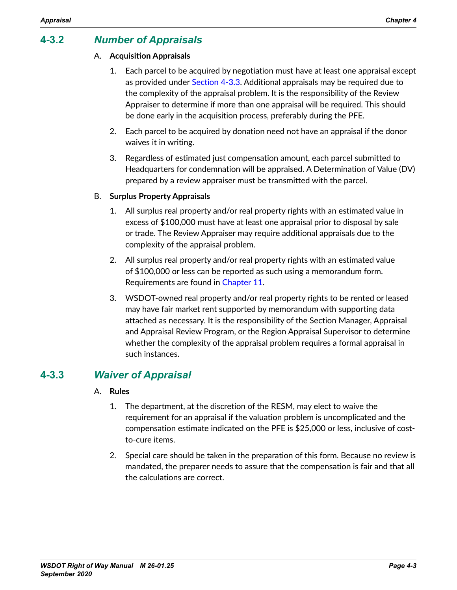## **4-3.2** *Number of Appraisals*

### A. **Acquisition Appraisals**

- 1. Each parcel to be acquired by negotiation must have at least one appraisal except as provided under [Section 4-3.3.](#page-2-0) Additional appraisals may be required due to the complexity of the appraisal problem. It is the responsibility of the Review Appraiser to determine if more than one appraisal will be required. This should be done early in the acquisition process, preferably during the PFE.
- 2. Each parcel to be acquired by donation need not have an appraisal if the donor waives it in writing.
- 3. Regardless of estimated just compensation amount, each parcel submitted to Headquarters for condemnation will be appraised. A Determination of Value (DV) prepared by a review appraiser must be transmitted with the parcel.

### B. **Surplus Property Appraisals**

- 1. All surplus real property and/or real property rights with an estimated value in excess of \$100,000 must have at least one appraisal prior to disposal by sale or trade. The Review Appraiser may require additional appraisals due to the complexity of the appraisal problem.
- 2. All surplus real property and/or real property rights with an estimated value of \$100,000 or less can be reported as such using a memorandum form. Requirements are found in Chapter 11.
- 3. WSDOT-owned real property and/or real property rights to be rented or leased may have fair market rent supported by memorandum with supporting data attached as necessary. It is the responsibility of the Section Manager, Appraisal and Appraisal Review Program, or the Region Appraisal Supervisor to determine whether the complexity of the appraisal problem requires a formal appraisal in such instances.

## **4-3.3** *Waiver of Appraisal*

### A. **Rules**

- <span id="page-2-0"></span>1. The department, at the discretion of the RESM, may elect to waive the requirement for an appraisal if the valuation problem is uncomplicated and the compensation estimate indicated on the PFE is \$25,000 or less, inclusive of costto-cure items.
- 2. Special care should be taken in the preparation of this form. Because no review is mandated, the preparer needs to assure that the compensation is fair and that all the calculations are correct.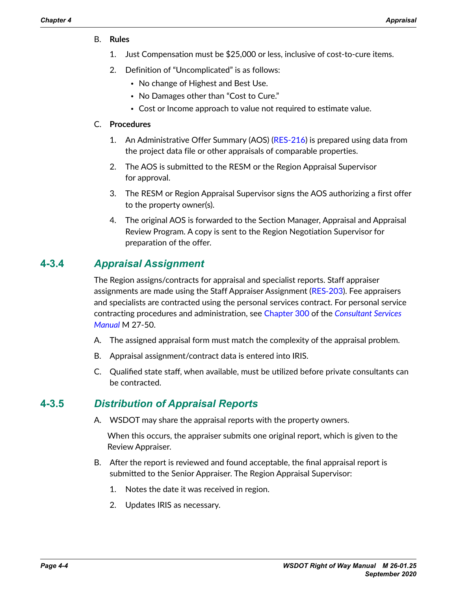- B. **Rules**
	- 1. Just Compensation must be \$25,000 or less, inclusive of cost-to-cure items.
	- 2. Definition of "Uncomplicated" is as follows:
		- No change of Highest and Best Use.
		- No Damages other than "Cost to Cure."
		- Cost or Income approach to value not required to estimate value.

#### C. **Procedures**

- 1. An Administrative Offer Summary (AOS) ([RES-216](http://www.wsdot.wa.gov/RealEstate/forms/Appraisal/default.htm)) is prepared using data from the project data file or other appraisals of comparable properties.
- 2. The AOS is submitted to the RESM or the Region Appraisal Supervisor for approval.
- 3. The RESM or Region Appraisal Supervisor signs the AOS authorizing a first offer to the property owner(s).
- 4. The original AOS is forwarded to the Section Manager, Appraisal and Appraisal Review Program. A copy is sent to the Region Negotiation Supervisor for preparation of the offer.

## **4-3.4** *Appraisal Assignment*

The Region assigns/contracts for appraisal and specialist reports. Staff appraiser assignments are made using the Staff Appraiser Assignment (RES‑[203\)](http://www.wsdot.wa.gov/RealEstate/forms/Appraisal/default.htm). Fee appraisers and specialists are contracted using the personal services contract. For personal service contracting procedures and administration, see [Chapter](http://www.wsdot.wa.gov/publications/manuals/fulltext/M27-50/Part3.pdf) 300 of the *[Consultant Services](http://www.wsdot.wa.gov/Publications/Manuals/M27-50.htm)  [Manual](http://www.wsdot.wa.gov/Publications/Manuals/M27-50.htm)* M 27-50.

- A. The assigned appraisal form must match the complexity of the appraisal problem.
- B. Appraisal assignment/contract data is entered into IRIS.
- C. Qualified state staff, when available, must be utilized before private consultants can be contracted.

## **4-3.5** *Distribution of Appraisal Reports*

A. WSDOT may share the appraisal reports with the property owners.

When this occurs, the appraiser submits one original report, which is given to the Review Appraiser.

- B. After the report is reviewed and found acceptable, the final appraisal report is submitted to the Senior Appraiser. The Region Appraisal Supervisor:
	- 1. Notes the date it was received in region.
	- 2. Updates IRIS as necessary.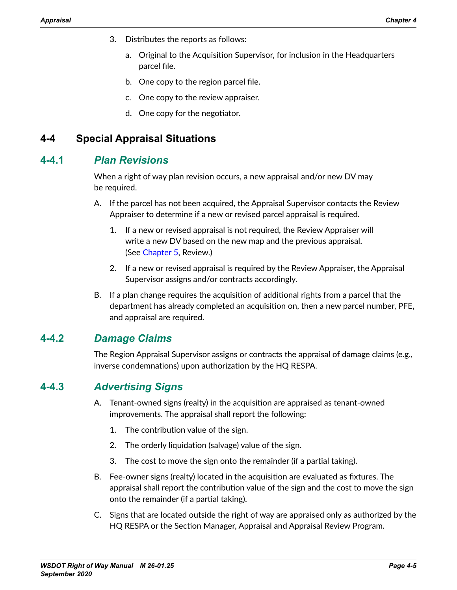- 3. Distributes the reports as follows:
	- a. Original to the Acquisition Supervisor, for inclusion in the Headquarters parcel file.
	- b. One copy to the region parcel file.
	- c. One copy to the review appraiser.
	- d. One copy for the negotiator.

## **4-4 Special Appraisal Situations**

## **4-4.1** *Plan Revisions*

When a right of way plan revision occurs, a new appraisal and/or new DV may be required.

- A. If the parcel has not been acquired, the Appraisal Supervisor contacts the Review Appraiser to determine if a new or revised parcel appraisal is required.
	- 1. If a new or revised appraisal is not required, the Review Appraiser will write a new DV based on the new map and the previous appraisal. (See Chapter 5, Review.)
	- 2. If a new or revised appraisal is required by the Review Appraiser, the Appraisal Supervisor assigns and/or contracts accordingly.
- B. If a plan change requires the acquisition of additional rights from a parcel that the department has already completed an acquisition on, then a new parcel number, PFE, and appraisal are required.

## **4-4.2** *Damage Claims*

The Region Appraisal Supervisor assigns or contracts the appraisal of damage claims (e.g., inverse condemnations) upon authorization by the HQ RESPA.

## **4-4.3** *Advertising Signs*

- A. Tenant-owned signs (realty) in the acquisition are appraised as tenant-owned improvements. The appraisal shall report the following:
	- 1. The contribution value of the sign.
	- 2. The orderly liquidation (salvage) value of the sign.
	- 3. The cost to move the sign onto the remainder (if a partial taking).
- B. Fee-owner signs (realty) located in the acquisition are evaluated as fixtures. The appraisal shall report the contribution value of the sign and the cost to move the sign onto the remainder (if a partial taking).
- C. Signs that are located outside the right of way are appraised only as authorized by the HQ RESPA or the Section Manager, Appraisal and Appraisal Review Program.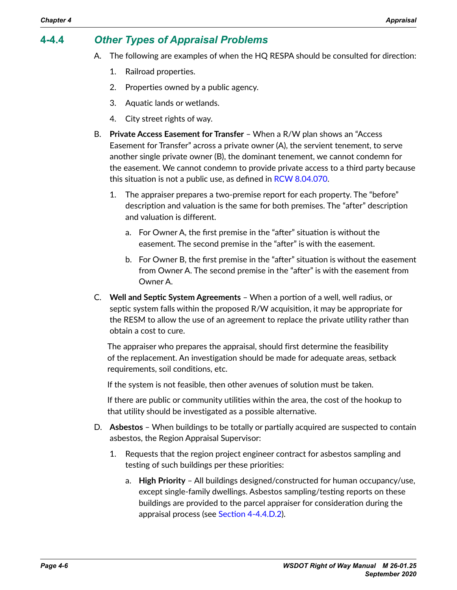## **4-4.4** *Other Types of Appraisal Problems*

- A. The following are examples of when the HQ RESPA should be consulted for direction:
	- 1. Railroad properties.
	- 2. Properties owned by a public agency.
	- 3. Aquatic lands or wetlands.
	- 4. City street rights of way.
- B. **Private Access Easement for Transfer** When a R/W plan shows an "Access Easement for Transfer" across a private owner (A), the servient tenement, to serve another single private owner (B), the dominant tenement, we cannot condemn for the easement. We cannot condemn to provide private access to a third party because this situation is not a public use, as defined in [RCW 8.04.070.](http://apps.leg.wa.gov/RCW/default.aspx?cite=8.04.070)
	- 1. The appraiser prepares a two-premise report for each property. The "before" description and valuation is the same for both premises. The "after" description and valuation is different.
		- a. For Owner A, the first premise in the "after" situation is without the easement. The second premise in the "after" is with the easement.
		- b. For Owner B, the first premise in the "after" situation is without the easement from Owner A. The second premise in the "after" is with the easement from Owner A.
- C. **Well and Septic System Agreements** When a portion of a well, well radius, or septic system falls within the proposed R/W acquisition, it may be appropriate for the RESM to allow the use of an agreement to replace the private utility rather than obtain a cost to cure.

The appraiser who prepares the appraisal, should first determine the feasibility of the replacement. An investigation should be made for adequate areas, setback requirements, soil conditions, etc.

If the system is not feasible, then other avenues of solution must be taken.

If there are public or community utilities within the area, the cost of the hookup to that utility should be investigated as a possible alternative.

- D. **Asbestos** When buildings to be totally or partially acquired are suspected to contain asbestos, the Region Appraisal Supervisor:
	- 1. Requests that the region project engineer contract for asbestos sampling and testing of such buildings per these priorities:
		- a. **High Priority** All buildings designed/constructed for human occupancy/use, except single-family dwellings. Asbestos sampling/testing reports on these buildings are provided to the parcel appraiser for consideration during the appraisal process (see [Section 4-4.4.D.2](#page-6-0)).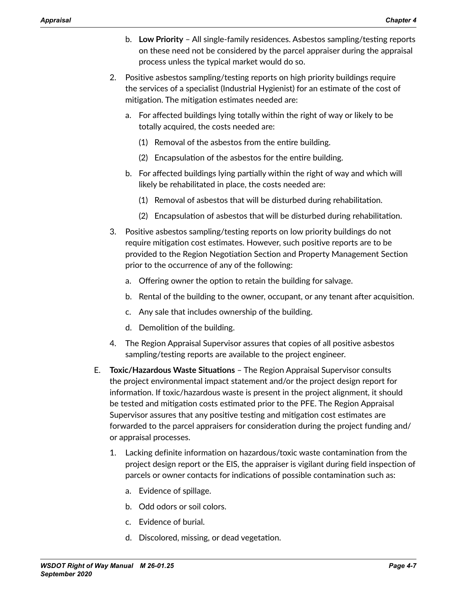- <span id="page-6-0"></span>b. **Low Priority** – All single-family residences. Asbestos sampling/testing reports on these need not be considered by the parcel appraiser during the appraisal process unless the typical market would do so.
- 2. Positive asbestos sampling/testing reports on high priority buildings require the services of a specialist (Industrial Hygienist) for an estimate of the cost of mitigation. The mitigation estimates needed are:
	- a. For affected buildings lying totally within the right of way or likely to be totally acquired, the costs needed are:
		- (1) Removal of the asbestos from the entire building.
		- (2) Encapsulation of the asbestos for the entire building.
	- b. For affected buildings lying partially within the right of way and which will likely be rehabilitated in place, the costs needed are:
		- (1) Removal of asbestos that will be disturbed during rehabilitation.
		- (2) Encapsulation of asbestos that will be disturbed during rehabilitation.
- 3. Positive asbestos sampling/testing reports on low priority buildings do not require mitigation cost estimates. However, such positive reports are to be provided to the Region Negotiation Section and Property Management Section prior to the occurrence of any of the following:
	- a. Offering owner the option to retain the building for salvage.
	- b. Rental of the building to the owner, occupant, or any tenant after acquisition.
	- c. Any sale that includes ownership of the building.
	- d. Demolition of the building.
- 4. The Region Appraisal Supervisor assures that copies of all positive asbestos sampling/testing reports are available to the project engineer.
- E. **Toxic/Hazardous Waste Situations** The Region Appraisal Supervisor consults the project environmental impact statement and/or the project design report for information. If toxic/hazardous waste is present in the project alignment, it should be tested and mitigation costs estimated prior to the PFE. The Region Appraisal Supervisor assures that any positive testing and mitigation cost estimates are forwarded to the parcel appraisers for consideration during the project funding and/ or appraisal processes.
	- 1. Lacking definite information on hazardous/toxic waste contamination from the project design report or the EIS, the appraiser is vigilant during field inspection of parcels or owner contacts for indications of possible contamination such as:
		- a. Evidence of spillage.
		- b. Odd odors or soil colors.
		- c. Evidence of burial.
		- d. Discolored, missing, or dead vegetation.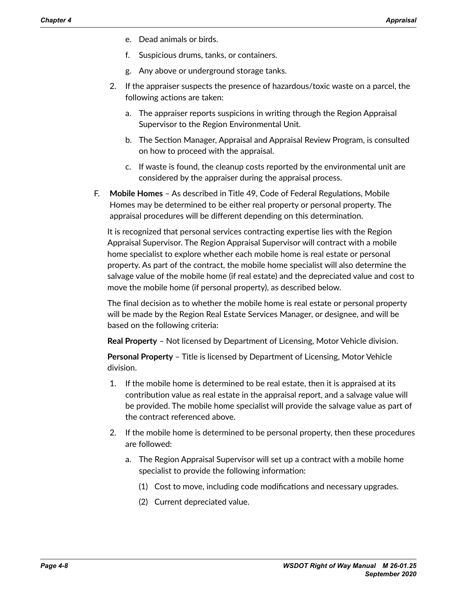- e. Dead animals or birds.
- f. Suspicious drums, tanks, or containers.
- g. Any above or underground storage tanks.
- 2. If the appraiser suspects the presence of hazardous/toxic waste on a parcel, the following actions are taken:
	- a. The appraiser reports suspicions in writing through the Region Appraisal Supervisor to the Region Environmental Unit.
	- b. The Section Manager, Appraisal and Appraisal Review Program, is consulted on how to proceed with the appraisal.
	- c. If waste is found, the cleanup costs reported by the environmental unit are considered by the appraiser during the appraisal process.
- F. **Mobile Homes** As described in Title 49, Code of Federal Regulations, Mobile Homes may be determined to be either real property or personal property. The appraisal procedures will be different depending on this determination.

It is recognized that personal services contracting expertise lies with the Region Appraisal Supervisor. The Region Appraisal Supervisor will contract with a mobile home specialist to explore whether each mobile home is real estate or personal property. As part of the contract, the mobile home specialist will also determine the salvage value of the mobile home (if real estate) and the depreciated value and cost to move the mobile home (if personal property), as described below.

The final decision as to whether the mobile home is real estate or personal property will be made by the Region Real Estate Services Manager, or designee, and will be based on the following criteria:

**Real Property** – Not licensed by Department of Licensing, Motor Vehicle division.

**Personal Property** – Title is licensed by Department of Licensing, Motor Vehicle division.

- 1. If the mobile home is determined to be real estate, then it is appraised at its contribution value as real estate in the appraisal report, and a salvage value will be provided. The mobile home specialist will provide the salvage value as part of the contract referenced above.
- 2. If the mobile home is determined to be personal property, then these procedures are followed:
	- a. The Region Appraisal Supervisor will set up a contract with a mobile home specialist to provide the following information:
		- (1) Cost to move, including code modifications and necessary upgrades.
		- (2) Current depreciated value.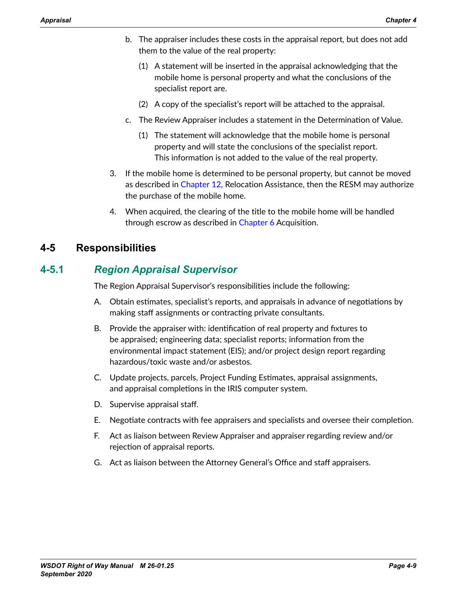- b. The appraiser includes these costs in the appraisal report, but does not add them to the value of the real property:
	- (1) A statement will be inserted in the appraisal acknowledging that the mobile home is personal property and what the conclusions of the specialist report are.
	- (2) A copy of the specialist's report will be attached to the appraisal.
- c. The Review Appraiser includes a statement in the Determination of Value.
	- (1) The statement will acknowledge that the mobile home is personal property and will state the conclusions of the specialist report. This information is not added to the value of the real property.
- 3. If the mobile home is determined to be personal property, but cannot be moved as described in Chapter 12, Relocation Assistance, then the RESM may authorize the purchase of the mobile home.
- 4. When acquired, the clearing of the title to the mobile home will be handled through escrow as described in Chapter 6 Acquisition.

## **4-5 Responsibilities**

## **4-5.1** *Region Appraisal Supervisor*

The Region Appraisal Supervisor's responsibilities include the following:

- A. Obtain estimates, specialist's reports, and appraisals in advance of negotiations by making staff assignments or contracting private consultants.
- B. Provide the appraiser with: identification of real property and fixtures to be appraised; engineering data; specialist reports; information from the environmental impact statement (EIS); and/or project design report regarding hazardous/toxic waste and/or asbestos.
- C. Update projects, parcels, Project Funding Estimates, appraisal assignments, and appraisal completions in the IRIS computer system.
- D. Supervise appraisal staff.
- E. Negotiate contracts with fee appraisers and specialists and oversee their completion.
- F. Act as liaison between Review Appraiser and appraiser regarding review and/or rejection of appraisal reports.
- G. Act as liaison between the Attorney General's Office and staff appraisers.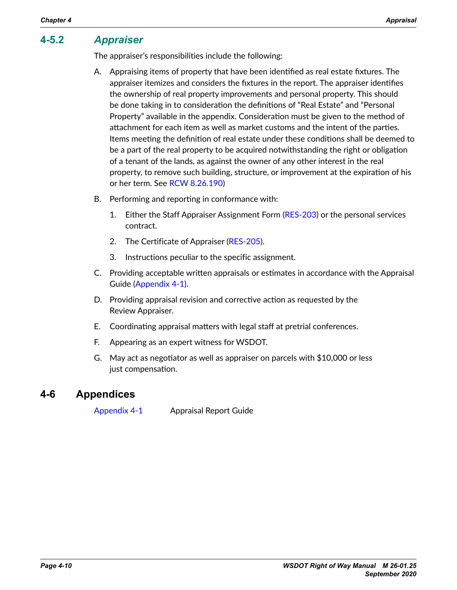## **4-5.2** *Appraiser*

The appraiser's responsibilities include the following:

- A. Appraising items of property that have been identified as real estate fixtures. The appraiser itemizes and considers the fixtures in the report. The appraiser identifies the ownership of real property improvements and personal property. This should be done taking in to consideration the definitions of "Real Estate" and "Personal Property" available in the appendix. Consideration must be given to the method of attachment for each item as well as market customs and the intent of the parties. Items meeting the definition of real estate under these conditions shall be deemed to be a part of the real property to be acquired notwithstanding the right or obligation of a tenant of the lands, as against the owner of any other interest in the real property, to remove such building, structure, or improvement at the expiration of his or her term. See RCW [8.26.190\)](http://apps.leg.wa.gov/rcw/default.aspx?cite=8.26.190)
- B. Performing and reporting in conformance with:
	- 1. Either the Staff Appraiser Assignment Form ([RES-203](http://www.wsdot.wa.gov/RealEstate/forms/Appraisal/default.htm)) or the personal services contract.
	- 2. The Certificate of Appraiser ([RES-205](http://www.wsdot.wa.gov/RealEstate/forms/Appraisal/default.htm)).
	- 3. Instructions peculiar to the specific assignment.
- C. Providing acceptable written appraisals or estimates in accordance with the Appraisal Guide [\(Appendix 4-1](#page-10-0)).
- D. Providing appraisal revision and corrective action as requested by the Review Appraiser.
- E. Coordinating appraisal matters with legal staff at pretrial conferences.
- F. Appearing as an expert witness for WSDOT.
- G. May act as negotiator as well as appraiser on parcels with \$10,000 or less just compensation.

## **4-6 Appendices**

[Appendix 4-1](#page-10-0) Appraisal Report Guide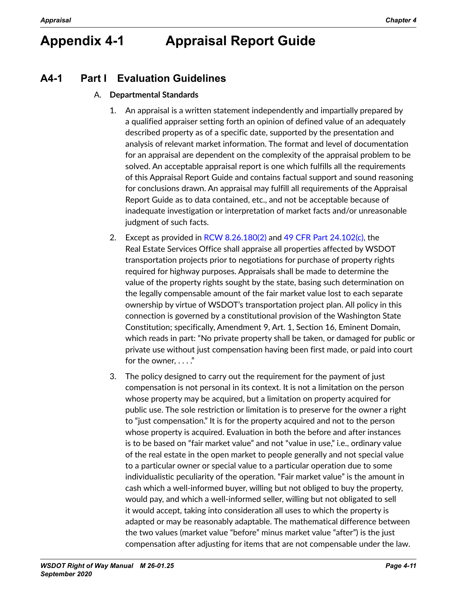# <span id="page-10-0"></span>**Appendix 4-1 Appraisal Report Guide**

## **A4-1 Part I Evaluation Guidelines**

### A. **Departmental Standards**

- 1. An appraisal is a written statement independently and impartially prepared by a qualified appraiser setting forth an opinion of defined value of an adequately described property as of a specific date, supported by the presentation and analysis of relevant market information. The format and level of documentation for an appraisal are dependent on the complexity of the appraisal problem to be solved. An acceptable appraisal report is one which fulfills all the requirements of this Appraisal Report Guide and contains factual support and sound reasoning for conclusions drawn. An appraisal may fulfill all requirements of the Appraisal Report Guide as to data contained, etc., and not be acceptable because of inadequate investigation or interpretation of market facts and/or unreasonable judgment of such facts.
- 2. Except as provided in [RCW 8.26.180\(2\)](http://app.leg.wa.gov/RCW/default.aspx?cite=8.26.180) and [49 CFR Part 24.102\(c\)](http://www.gpo.gov/fdsys/pkg/CFR-2013-title49-vol1/pdf/CFR-2013-title49-vol1-sec24-102.pdf), the Real Estate Services Office shall appraise all properties affected by WSDOT transportation projects prior to negotiations for purchase of property rights required for highway purposes. Appraisals shall be made to determine the value of the property rights sought by the state, basing such determination on the legally compensable amount of the fair market value lost to each separate ownership by virtue of WSDOT's transportation project plan. All policy in this connection is governed by a constitutional provision of the Washington State Constitution; specifically, Amendment 9, Art. 1, Section 16, Eminent Domain, which reads in part: "No private property shall be taken, or damaged for public or private use without just compensation having been first made, or paid into court for the owner, . . . ."
- 3. The policy designed to carry out the requirement for the payment of just compensation is not personal in its context. It is not a limitation on the person whose property may be acquired, but a limitation on property acquired for public use. The sole restriction or limitation is to preserve for the owner a right to "just compensation." It is for the property acquired and not to the person whose property is acquired. Evaluation in both the before and after instances is to be based on "fair market value" and not "value in use," i.e., ordinary value of the real estate in the open market to people generally and not special value to a particular owner or special value to a particular operation due to some individualistic peculiarity of the operation. "Fair market value" is the amount in cash which a well-informed buyer, willing but not obliged to buy the property, would pay, and which a well-informed seller, willing but not obligated to sell it would accept, taking into consideration all uses to which the property is adapted or may be reasonably adaptable. The mathematical difference between the two values (market value "before" minus market value "after") is the just compensation after adjusting for items that are not compensable under the law.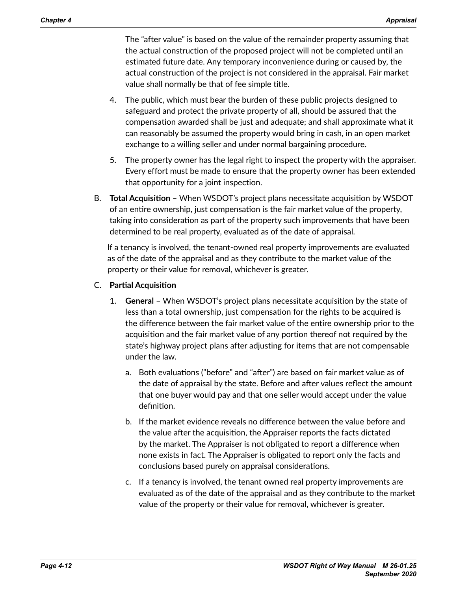The "after value" is based on the value of the remainder property assuming that the actual construction of the proposed project will not be completed until an estimated future date. Any temporary inconvenience during or caused by, the actual construction of the project is not considered in the appraisal. Fair market value shall normally be that of fee simple title.

- 4. The public, which must bear the burden of these public projects designed to safeguard and protect the private property of all, should be assured that the compensation awarded shall be just and adequate; and shall approximate what it can reasonably be assumed the property would bring in cash, in an open market exchange to a willing seller and under normal bargaining procedure.
- 5. The property owner has the legal right to inspect the property with the appraiser. Every effort must be made to ensure that the property owner has been extended that opportunity for a joint inspection.
- B. **Total Acquisition**  When WSDOT's project plans necessitate acquisition by WSDOT of an entire ownership, just compensation is the fair market value of the property, taking into consideration as part of the property such improvements that have been determined to be real property, evaluated as of the date of appraisal.

If a tenancy is involved, the tenant-owned real property improvements are evaluated as of the date of the appraisal and as they contribute to the market value of the property or their value for removal, whichever is greater.

- C. **Partial Acquisition**
	- 1. **General** When WSDOT's project plans necessitate acquisition by the state of less than a total ownership, just compensation for the rights to be acquired is the difference between the fair market value of the entire ownership prior to the acquisition and the fair market value of any portion thereof not required by the state's highway project plans after adjusting for items that are not compensable under the law.
		- a. Both evaluations ("before" and "after") are based on fair market value as of the date of appraisal by the state. Before and after values reflect the amount that one buyer would pay and that one seller would accept under the value definition.
		- b. If the market evidence reveals no difference between the value before and the value after the acquisition, the Appraiser reports the facts dictated by the market. The Appraiser is not obligated to report a difference when none exists in fact. The Appraiser is obligated to report only the facts and conclusions based purely on appraisal considerations.
		- c. If a tenancy is involved, the tenant owned real property improvements are evaluated as of the date of the appraisal and as they contribute to the market value of the property or their value for removal, whichever is greater.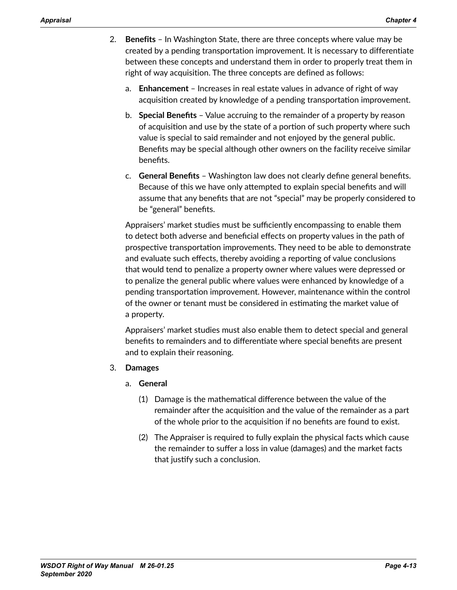- 2. **Benefits** In Washington State, there are three concepts where value may be created by a pending transportation improvement. It is necessary to differentiate between these concepts and understand them in order to properly treat them in right of way acquisition. The three concepts are defined as follows:
	- a. **Enhancement** Increases in real estate values in advance of right of way acquisition created by knowledge of a pending transportation improvement.
	- b. **Special Benefits**  Value accruing to the remainder of a property by reason of acquisition and use by the state of a portion of such property where such value is special to said remainder and not enjoyed by the general public. Benefits may be special although other owners on the facility receive similar benefits.
	- c. **General Benefits** Washington law does not clearly define general benefits. Because of this we have only attempted to explain special benefits and will assume that any benefits that are not "special" may be properly considered to be "general" benefits.

Appraisers' market studies must be sufficiently encompassing to enable them to detect both adverse and beneficial effects on property values in the path of prospective transportation improvements. They need to be able to demonstrate and evaluate such effects, thereby avoiding a reporting of value conclusions that would tend to penalize a property owner where values were depressed or to penalize the general public where values were enhanced by knowledge of a pending transportation improvement. However, maintenance within the control of the owner or tenant must be considered in estimating the market value of a property.

Appraisers' market studies must also enable them to detect special and general benefits to remainders and to differentiate where special benefits are present and to explain their reasoning.

### 3. **Damages**

- a. **General**
	- (1) Damage is the mathematical difference between the value of the remainder after the acquisition and the value of the remainder as a part of the whole prior to the acquisition if no benefits are found to exist.
	- (2) The Appraiser is required to fully explain the physical facts which cause the remainder to suffer a loss in value (damages) and the market facts that justify such a conclusion.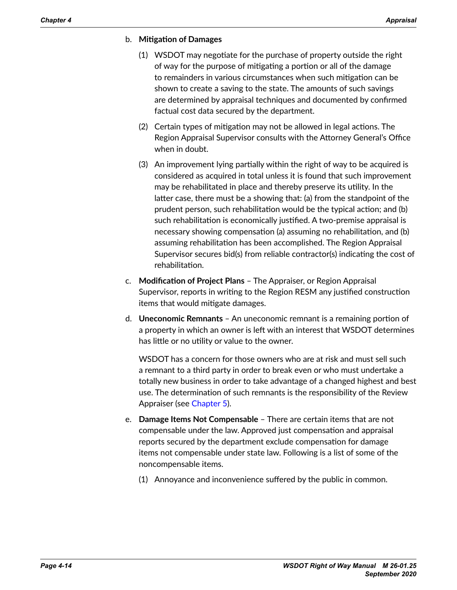#### b. **Mitigation of Damages**

- (1) WSDOT may negotiate for the purchase of property outside the right of way for the purpose of mitigating a portion or all of the damage to remainders in various circumstances when such mitigation can be shown to create a saving to the state. The amounts of such savings are determined by appraisal techniques and documented by confirmed factual cost data secured by the department.
- (2) Certain types of mitigation may not be allowed in legal actions. The Region Appraisal Supervisor consults with the Attorney General's Office when in doubt.
- (3) An improvement lying partially within the right of way to be acquired is considered as acquired in total unless it is found that such improvement may be rehabilitated in place and thereby preserve its utility. In the latter case, there must be a showing that: (a) from the standpoint of the prudent person, such rehabilitation would be the typical action; and (b) such rehabilitation is economically justified. A two-premise appraisal is necessary showing compensation (a) assuming no rehabilitation, and (b) assuming rehabilitation has been accomplished. The Region Appraisal Supervisor secures bid(s) from reliable contractor(s) indicating the cost of rehabilitation.
- c. **Modification of Project Plans** The Appraiser, or Region Appraisal Supervisor, reports in writing to the Region RESM any justified construction items that would mitigate damages.
- d. **Uneconomic Remnants**  An uneconomic remnant is a remaining portion of a property in which an owner is left with an interest that WSDOT determines has little or no utility or value to the owner.

WSDOT has a concern for those owners who are at risk and must sell such a remnant to a third party in order to break even or who must undertake a totally new business in order to take advantage of a changed highest and best use. The determination of such remnants is the responsibility of the Review Appraiser (see Chapter 5).

- e. **Damage Items Not Compensable** There are certain items that are not compensable under the law. Approved just compensation and appraisal reports secured by the department exclude compensation for damage items not compensable under state law. Following is a list of some of the noncompensable items.
	- (1) Annoyance and inconvenience suffered by the public in common.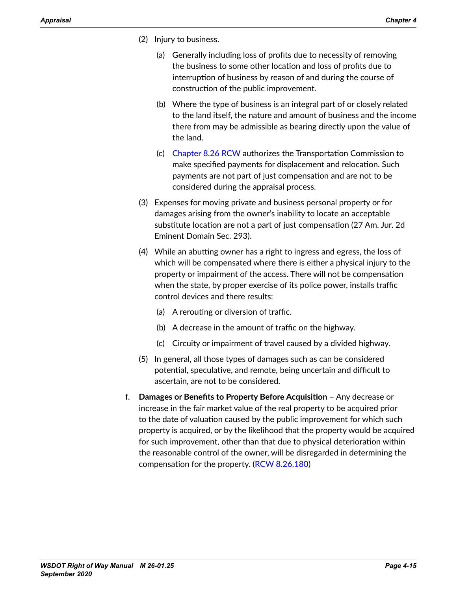- (2) Injury to business.
	- (a) Generally including loss of profits due to necessity of removing the business to some other location and loss of profits due to interruption of business by reason of and during the course of construction of the public improvement.
	- (b) Where the type of business is an integral part of or closely related to the land itself, the nature and amount of business and the income there from may be admissible as bearing directly upon the value of the land.
	- (c) [Chapter 8.26 RCW](http://app.leg.wa.gov/RCW/default.aspx?cite=8.26) authorizes the Transportation Commission to make specified payments for displacement and relocation. Such payments are not part of just compensation and are not to be considered during the appraisal process.
- (3) Expenses for moving private and business personal property or for damages arising from the owner's inability to locate an acceptable substitute location are not a part of just compensation (27 Am. Jur. 2d Eminent Domain Sec. 293).
- (4) While an abutting owner has a right to ingress and egress, the loss of which will be compensated where there is either a physical injury to the property or impairment of the access. There will not be compensation when the state, by proper exercise of its police power, installs traffic control devices and there results:
	- (a) A rerouting or diversion of traffic.
	- (b) A decrease in the amount of traffic on the highway.
	- (c) Circuity or impairment of travel caused by a divided highway.
- (5) In general, all those types of damages such as can be considered potential, speculative, and remote, being uncertain and difficult to ascertain, are not to be considered.
- f. **Damages or Benefits to Property Before Acquisition** Any decrease or increase in the fair market value of the real property to be acquired prior to the date of valuation caused by the public improvement for which such property is acquired, or by the likelihood that the property would be acquired for such improvement, other than that due to physical deterioration within the reasonable control of the owner, will be disregarded in determining the compensation for the property. ([RCW 8.26.180](http://apps.leg.wa.gov/RCW/default.aspx?cite=8.26.180))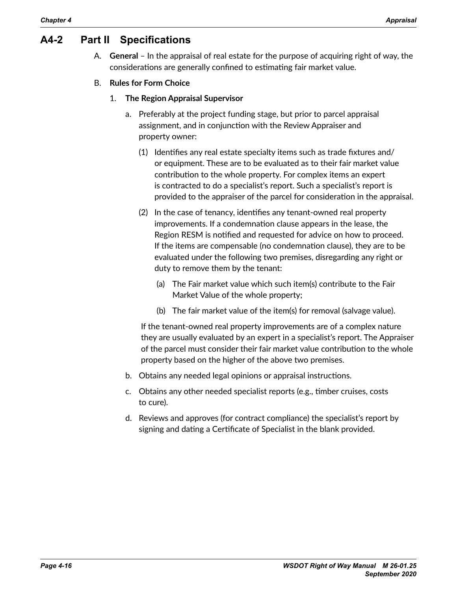## **A4-2 Part II Specifications**

- A. **General** In the appraisal of real estate for the purpose of acquiring right of way, the considerations are generally confined to estimating fair market value.
- B. **Rules for Form Choice**
	- 1. **The Region Appraisal Supervisor**
		- a. Preferably at the project funding stage, but prior to parcel appraisal assignment, and in conjunction with the Review Appraiser and property owner:
			- (1) Identifies any real estate specialty items such as trade fixtures and/ or equipment. These are to be evaluated as to their fair market value contribution to the whole property. For complex items an expert is contracted to do a specialist's report. Such a specialist's report is provided to the appraiser of the parcel for consideration in the appraisal.
			- (2) In the case of tenancy, identifies any tenant-owned real property improvements. If a condemnation clause appears in the lease, the Region RESM is notified and requested for advice on how to proceed. If the items are compensable (no condemnation clause), they are to be evaluated under the following two premises, disregarding any right or duty to remove them by the tenant:
				- (a) The Fair market value which such item(s) contribute to the Fair Market Value of the whole property;
				- (b) The fair market value of the item(s) for removal (salvage value).

If the tenant-owned real property improvements are of a complex nature they are usually evaluated by an expert in a specialist's report. The Appraiser of the parcel must consider their fair market value contribution to the whole property based on the higher of the above two premises.

- b. Obtains any needed legal opinions or appraisal instructions.
- c. Obtains any other needed specialist reports (e.g., timber cruises, costs to cure).
- d. Reviews and approves (for contract compliance) the specialist's report by signing and dating a Certificate of Specialist in the blank provided.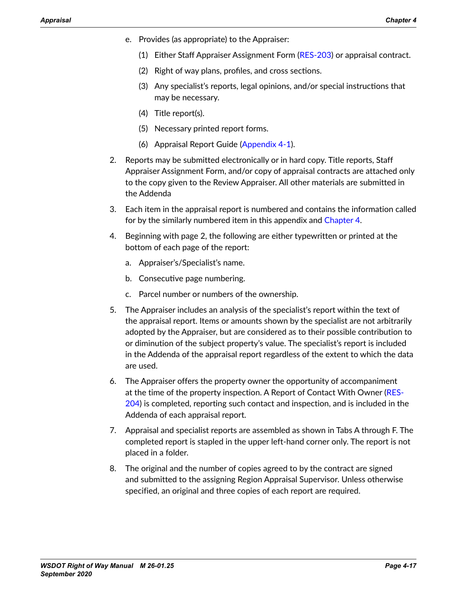- e. Provides (as appropriate) to the Appraiser:
	- (1) Either Staff Appraiser Assignment Form ([RES-203\)](http://www.wsdot.wa.gov/RealEstate/forms/Appraisal/default.htm) or appraisal contract.
	- (2) Right of way plans, profiles, and cross sections.
	- (3) Any specialist's reports, legal opinions, and/or special instructions that may be necessary.
	- (4) Title report(s).
	- (5) Necessary printed report forms.
	- (6) Appraisal Report Guide [\(Appendix 4-1](#page-10-0)).
- 2. Reports may be submitted electronically or in hard copy. Title reports, Staff Appraiser Assignment Form, and/or copy of appraisal contracts are attached only to the copy given to the Review Appraiser. All other materials are submitted in the Addenda
- 3. Each item in the appraisal report is numbered and contains the information called for by the similarly numbered item in this appendix and [Chapter 4.](#page-0-1)
- 4. Beginning with page 2, the following are either typewritten or printed at the bottom of each page of the report:
	- a. Appraiser's/Specialist's name.
	- b. Consecutive page numbering.
	- c. Parcel number or numbers of the ownership.
- 5. The Appraiser includes an analysis of the specialist's report within the text of the appraisal report. Items or amounts shown by the specialist are not arbitrarily adopted by the Appraiser, but are considered as to their possible contribution to or diminution of the subject property's value. The specialist's report is included in the Addenda of the appraisal report regardless of the extent to which the data are used.
- 6. The Appraiser offers the property owner the opportunity of accompaniment at the time of the property inspection. A Report of Contact With Owner [\(RES-](http://www.wsdot.wa.gov/RealEstate/forms/Appraisal/default.htm)[204](http://www.wsdot.wa.gov/RealEstate/forms/Appraisal/default.htm)) is completed, reporting such contact and inspection, and is included in the Addenda of each appraisal report.
- 7. Appraisal and specialist reports are assembled as shown in Tabs A through F. The completed report is stapled in the upper left-hand corner only. The report is not placed in a folder.
- 8. The original and the number of copies agreed to by the contract are signed and submitted to the assigning Region Appraisal Supervisor. Unless otherwise specified, an original and three copies of each report are required.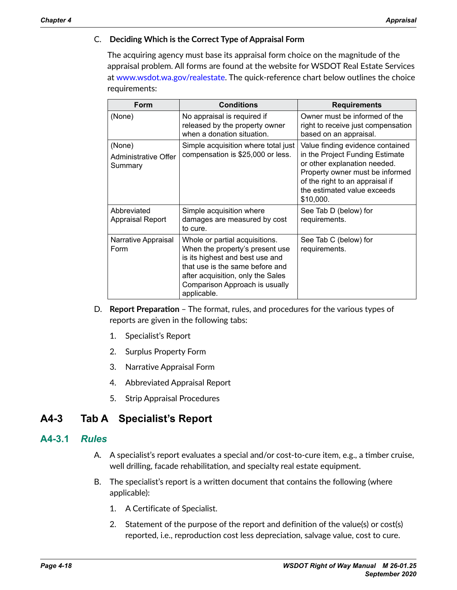### C. **Deciding Which is the Correct Type of Appraisal Form**

The acquiring agency must base its appraisal form choice on the magnitude of the appraisal problem. All forms are found at the website for WSDOT Real Estate Services at [www.wsdot.wa.gov/realestate](http://www.wsdot.wa.gov/realestate). The quick-reference chart below outlines the choice requirements:

| Form                                      | <b>Conditions</b>                                                                                                                                                                                                             | <b>Requirements</b>                                                                                                                                                                                                   |
|-------------------------------------------|-------------------------------------------------------------------------------------------------------------------------------------------------------------------------------------------------------------------------------|-----------------------------------------------------------------------------------------------------------------------------------------------------------------------------------------------------------------------|
| (None)                                    | No appraisal is required if<br>released by the property owner<br>when a donation situation.                                                                                                                                   | Owner must be informed of the<br>right to receive just compensation<br>based on an appraisal.                                                                                                                         |
| (None)<br>Administrative Offer<br>Summary | Simple acquisition where total just<br>compensation is \$25,000 or less.                                                                                                                                                      | Value finding evidence contained<br>in the Project Funding Estimate<br>or other explanation needed.<br>Property owner must be informed<br>of the right to an appraisal if<br>the estimated value exceeds<br>\$10,000. |
| Abbreviated<br><b>Appraisal Report</b>    | Simple acquisition where<br>damages are measured by cost<br>to cure.                                                                                                                                                          | See Tab D (below) for<br>requirements.                                                                                                                                                                                |
| Narrative Appraisal<br>Form               | Whole or partial acquisitions.<br>When the property's present use<br>is its highest and best use and<br>that use is the same before and<br>after acquisition, only the Sales<br>Comparison Approach is usually<br>applicable. | See Tab C (below) for<br>requirements.                                                                                                                                                                                |

- D. **Report Preparation**  The format, rules, and procedures for the various types of reports are given in the following tabs:
	- 1. Specialist's Report
	- 2. Surplus Property Form
	- 3. Narrative Appraisal Form
	- 4. Abbreviated Appraisal Report
	- 5. Strip Appraisal Procedures

## **A4-3 Tab A Specialist's Report**

## **A4-3.1** *Rules*

- A. A specialist's report evaluates a special and/or cost-to-cure item, e.g., a timber cruise, well drilling, facade rehabilitation, and specialty real estate equipment.
- B. The specialist's report is a written document that contains the following (where applicable):
	- 1. A Certificate of Specialist.
	- 2. Statement of the purpose of the report and definition of the value(s) or cost(s) reported, i.e., reproduction cost less depreciation, salvage value, cost to cure.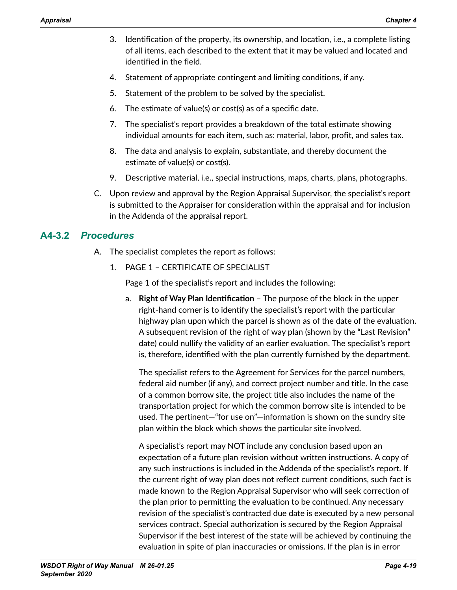- 3. Identification of the property, its ownership, and location, i.e., a complete listing of all items, each described to the extent that it may be valued and located and identified in the field.
- 4. Statement of appropriate contingent and limiting conditions, if any.
- 5. Statement of the problem to be solved by the specialist.
- 6. The estimate of value(s) or cost(s) as of a specific date.
- 7. The specialist's report provides a breakdown of the total estimate showing individual amounts for each item, such as: material, labor, profit, and sales tax.
- 8. The data and analysis to explain, substantiate, and thereby document the estimate of value(s) or cost(s).
- 9. Descriptive material, i.e., special instructions, maps, charts, plans, photographs.
- C. Upon review and approval by the Region Appraisal Supervisor, the specialist's report is submitted to the Appraiser for consideration within the appraisal and for inclusion in the Addenda of the appraisal report.

## **A4-3.2** *Procedures*

- A. The specialist completes the report as follows:
	- 1. PAGE 1 CERTIFICATE OF SPECIALIST

Page 1 of the specialist's report and includes the following:

a. **Right of Way Plan Identification** – The purpose of the block in the upper right-hand corner is to identify the specialist's report with the particular highway plan upon which the parcel is shown as of the date of the evaluation. A subsequent revision of the right of way plan (shown by the "Last Revision" date) could nullify the validity of an earlier evaluation. The specialist's report is, therefore, identified with the plan currently furnished by the department.

The specialist refers to the Agreement for Services for the parcel numbers, federal aid number (if any), and correct project number and title. In the case of a common borrow site, the project title also includes the name of the transportation project for which the common borrow site is intended to be used. The pertinent—"for use on"—information is shown on the sundry site plan within the block which shows the particular site involved.

A specialist's report may NOT include any conclusion based upon an expectation of a future plan revision without written instructions. A copy of any such instructions is included in the Addenda of the specialist's report. If the current right of way plan does not reflect current conditions, such fact is made known to the Region Appraisal Supervisor who will seek correction of the plan prior to permitting the evaluation to be continued. Any necessary revision of the specialist's contracted due date is executed by a new personal services contract. Special authorization is secured by the Region Appraisal Supervisor if the best interest of the state will be achieved by continuing the evaluation in spite of plan inaccuracies or omissions. If the plan is in error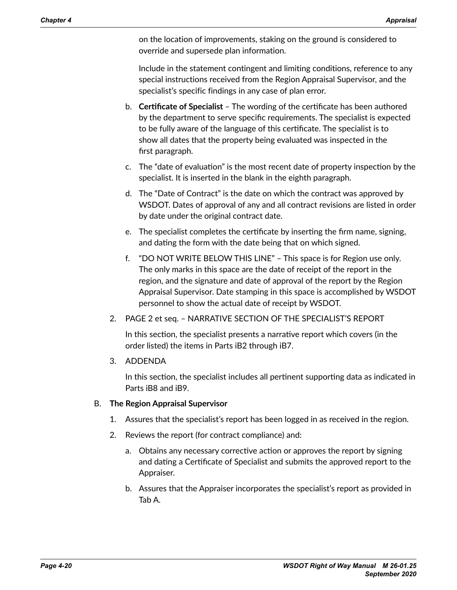on the location of improvements, staking on the ground is considered to override and supersede plan information.

Include in the statement contingent and limiting conditions, reference to any special instructions received from the Region Appraisal Supervisor, and the specialist's specific findings in any case of plan error.

- b. **Certificate of Specialist**  The wording of the certificate has been authored by the department to serve specific requirements. The specialist is expected to be fully aware of the language of this certificate. The specialist is to show all dates that the property being evaluated was inspected in the first paragraph.
- c. The "date of evaluation" is the most recent date of property inspection by the specialist. It is inserted in the blank in the eighth paragraph.
- d. The "Date of Contract" is the date on which the contract was approved by WSDOT. Dates of approval of any and all contract revisions are listed in order by date under the original contract date.
- e. The specialist completes the certificate by inserting the firm name, signing, and dating the form with the date being that on which signed.
- f. "DO NOT WRITE BELOW THIS LINE" This space is for Region use only. The only marks in this space are the date of receipt of the report in the region, and the signature and date of approval of the report by the Region Appraisal Supervisor. Date stamping in this space is accomplished by WSDOT personnel to show the actual date of receipt by WSDOT.
- 2. PAGE 2 et seq. NARRATIVE SECTION OF THE SPECIALIST'S REPORT

In this section, the specialist presents a narrative report which covers (in the order listed) the items in Parts iB2 through iB7.

3. ADDENDA

In this section, the specialist includes all pertinent supporting data as indicated in Parts iB8 and iB9.

### B. **The Region Appraisal Supervisor**

- 1. Assures that the specialist's report has been logged in as received in the region.
- 2. Reviews the report (for contract compliance) and:
	- a. Obtains any necessary corrective action or approves the report by signing and dating a Certificate of Specialist and submits the approved report to the Appraiser.
	- b. Assures that the Appraiser incorporates the specialist's report as provided in Tab A.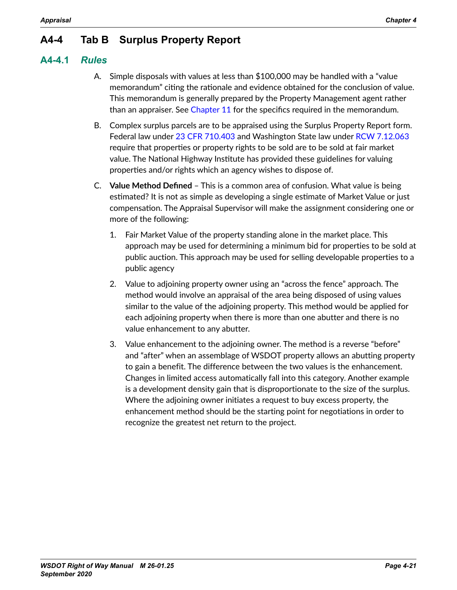## **A4-4 Tab B Surplus Property Report**

## **A4-4.1** *Rules*

- A. Simple disposals with values at less than \$100,000 may be handled with a "value memorandum" citing the rationale and evidence obtained for the conclusion of value. This memorandum is generally prepared by the Property Management agent rather than an appraiser. See Chapter 11 for the specifics required in the memorandum.
- B. Complex surplus parcels are to be appraised using the Surplus Property Report form. Federal law under [23 CFR 710.403](http://www.gpo.gov/fdsys/pkg/CFR-2014-title23-vol1/pdf/CFR-2014-title23-vol1-sec710-403.pdf) and Washington State law under [RCW 7.12.063](http://app.leg.wa.gov/RCW/default.aspx?cite=7.12.063) require that properties or property rights to be sold are to be sold at fair market value. The National Highway Institute has provided these guidelines for valuing properties and/or rights which an agency wishes to dispose of.
- C. **Value Method Defined** This is a common area of confusion. What value is being estimated? It is not as simple as developing a single estimate of Market Value or just compensation. The Appraisal Supervisor will make the assignment considering one or more of the following:
	- 1. Fair Market Value of the property standing alone in the market place. This approach may be used for determining a minimum bid for properties to be sold at public auction. This approach may be used for selling developable properties to a public agency
	- 2. Value to adjoining property owner using an "across the fence" approach. The method would involve an appraisal of the area being disposed of using values similar to the value of the adjoining property. This method would be applied for each adjoining property when there is more than one abutter and there is no value enhancement to any abutter.
	- 3. Value enhancement to the adjoining owner. The method is a reverse "before" and "after" when an assemblage of WSDOT property allows an abutting property to gain a benefit. The difference between the two values is the enhancement. Changes in limited access automatically fall into this category. Another example is a development density gain that is disproportionate to the size of the surplus. Where the adjoining owner initiates a request to buy excess property, the enhancement method should be the starting point for negotiations in order to recognize the greatest net return to the project.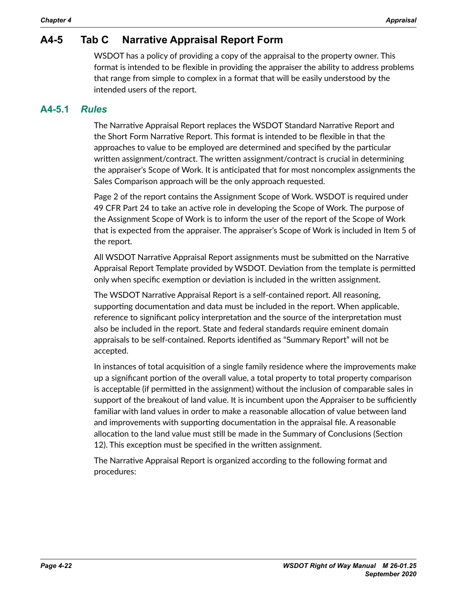## **A4-5 Tab C Narrative Appraisal Report Form**

WSDOT has a policy of providing a copy of the appraisal to the property owner. This format is intended to be flexible in providing the appraiser the ability to address problems that range from simple to complex in a format that will be easily understood by the intended users of the report.

## **A4-5.1** *Rules*

The Narrative Appraisal Report replaces the WSDOT Standard Narrative Report and the Short Form Narrative Report. This format is intended to be flexible in that the approaches to value to be employed are determined and specified by the particular written assignment/contract. The written assignment/contract is crucial in determining the appraiser's Scope of Work. It is anticipated that for most noncomplex assignments the Sales Comparison approach will be the only approach requested.

Page 2 of the report contains the Assignment Scope of Work. WSDOT is required under 49 CFR Part 24 to take an active role in developing the Scope of Work. The purpose of the Assignment Scope of Work is to inform the user of the report of the Scope of Work that is expected from the appraiser. The appraiser's Scope of Work is included in Item 5 of the report.

All WSDOT Narrative Appraisal Report assignments must be submitted on the Narrative Appraisal Report Template provided by WSDOT. Deviation from the template is permitted only when specific exemption or deviation is included in the written assignment.

The WSDOT Narrative Appraisal Report is a self-contained report. All reasoning, supporting documentation and data must be included in the report. When applicable, reference to significant policy interpretation and the source of the interpretation must also be included in the report. State and federal standards require eminent domain appraisals to be self-contained. Reports identified as "Summary Report" will not be accepted.

In instances of total acquisition of a single family residence where the improvements make up a significant portion of the overall value, a total property to total property comparison is acceptable (if permitted in the assignment) without the inclusion of comparable sales in support of the breakout of land value. It is incumbent upon the Appraiser to be sufficiently familiar with land values in order to make a reasonable allocation of value between land and improvements with supporting documentation in the appraisal file. A reasonable allocation to the land value must still be made in the Summary of Conclusions (Section 12). This exception must be specified in the written assignment.

The Narrative Appraisal Report is organized according to the following format and procedures: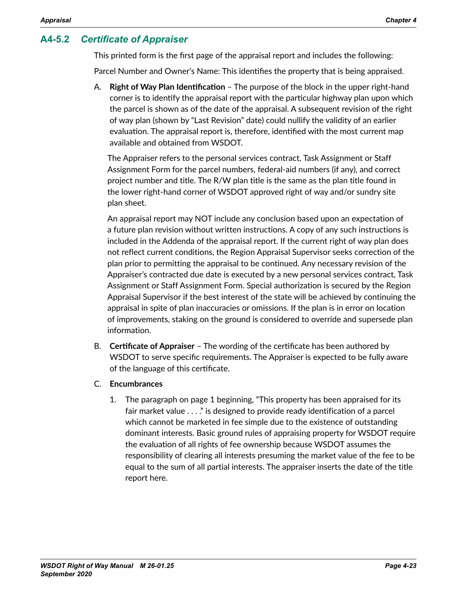## **A4-5.2** *Certificate of Appraiser*

This printed form is the first page of the appraisal report and includes the following:

Parcel Number and Owner's Name: This identifies the property that is being appraised.

A. **Right of Way Plan Identification** – The purpose of the block in the upper right-hand corner is to identify the appraisal report with the particular highway plan upon which the parcel is shown as of the date of the appraisal. A subsequent revision of the right of way plan (shown by "Last Revision" date) could nullify the validity of an earlier evaluation. The appraisal report is, therefore, identified with the most current map available and obtained from WSDOT.

The Appraiser refers to the personal services contract, Task Assignment or Staff Assignment Form for the parcel numbers, federal-aid numbers (if any), and correct project number and title. The R/W plan title is the same as the plan title found in the lower right-hand corner of WSDOT approved right of way and/or sundry site plan sheet.

An appraisal report may NOT include any conclusion based upon an expectation of a future plan revision without written instructions. A copy of any such instructions is included in the Addenda of the appraisal report. If the current right of way plan does not reflect current conditions, the Region Appraisal Supervisor seeks correction of the plan prior to permitting the appraisal to be continued. Any necessary revision of the Appraiser's contracted due date is executed by a new personal services contract, Task Assignment or Staff Assignment Form. Special authorization is secured by the Region Appraisal Supervisor if the best interest of the state will be achieved by continuing the appraisal in spite of plan inaccuracies or omissions. If the plan is in error on location of improvements, staking on the ground is considered to override and supersede plan information.

- B. **Certificate of Appraiser** The wording of the certificate has been authored by WSDOT to serve specific requirements. The Appraiser is expected to be fully aware of the language of this certificate.
- C. **Encumbrances**
	- 1. The paragraph on page 1 beginning, "This property has been appraised for its fair market value . . . ." is designed to provide ready identification of a parcel which cannot be marketed in fee simple due to the existence of outstanding dominant interests. Basic ground rules of appraising property for WSDOT require the evaluation of all rights of fee ownership because WSDOT assumes the responsibility of clearing all interests presuming the market value of the fee to be equal to the sum of all partial interests. The appraiser inserts the date of the title report here.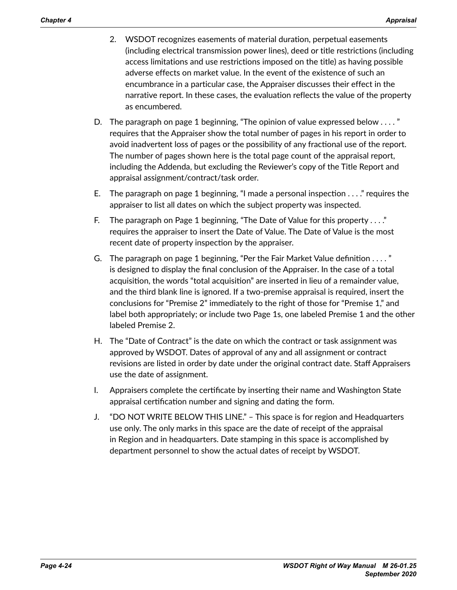- 2. WSDOT recognizes easements of material duration, perpetual easements (including electrical transmission power lines), deed or title restrictions (including access limitations and use restrictions imposed on the title) as having possible adverse effects on market value. In the event of the existence of such an encumbrance in a particular case, the Appraiser discusses their effect in the narrative report. In these cases, the evaluation reflects the value of the property as encumbered.
- D. The paragraph on page 1 beginning, "The opinion of value expressed below . . . . " requires that the Appraiser show the total number of pages in his report in order to avoid inadvertent loss of pages or the possibility of any fractional use of the report. The number of pages shown here is the total page count of the appraisal report, including the Addenda, but excluding the Reviewer's copy of the Title Report and appraisal assignment/contract/task order.
- E. The paragraph on page 1 beginning, "I made a personal inspection . . . ." requires the appraiser to list all dates on which the subject property was inspected.
- F. The paragraph on Page 1 beginning, "The Date of Value for this property . . . ." requires the appraiser to insert the Date of Value. The Date of Value is the most recent date of property inspection by the appraiser.
- G. The paragraph on page 1 beginning, "Per the Fair Market Value definition . . . . " is designed to display the final conclusion of the Appraiser. In the case of a total acquisition, the words "total acquisition" are inserted in lieu of a remainder value, and the third blank line is ignored. If a two-premise appraisal is required, insert the conclusions for "Premise 2" immediately to the right of those for "Premise 1," and label both appropriately; or include two Page 1s, one labeled Premise 1 and the other labeled Premise 2.
- H. The "Date of Contract" is the date on which the contract or task assignment was approved by WSDOT. Dates of approval of any and all assignment or contract revisions are listed in order by date under the original contract date. Staff Appraisers use the date of assignment.
- I. Appraisers complete the certificate by inserting their name and Washington State appraisal certification number and signing and dating the form.
- J. "DO NOT WRITE BELOW THIS LINE." This space is for region and Headquarters use only. The only marks in this space are the date of receipt of the appraisal in Region and in headquarters. Date stamping in this space is accomplished by department personnel to show the actual dates of receipt by WSDOT.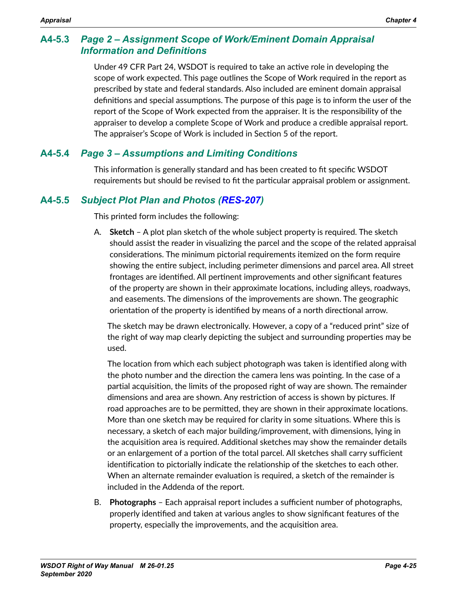## **A4-5.3** *Page 2 – Assignment Scope of Work/Eminent Domain Appraisal Information and Definitions*

Under 49 CFR Part 24, WSDOT is required to take an active role in developing the scope of work expected. This page outlines the Scope of Work required in the report as prescribed by state and federal standards. Also included are eminent domain appraisal definitions and special assumptions. The purpose of this page is to inform the user of the report of the Scope of Work expected from the appraiser. It is the responsibility of the appraiser to develop a complete Scope of Work and produce a credible appraisal report. The appraiser's Scope of Work is included in Section 5 of the report.

## **A4-5.4** *Page 3 – Assumptions and Limiting Conditions*

This information is generally standard and has been created to fit specific WSDOT requirements but should be revised to fit the particular appraisal problem or assignment.

## **A4-5.5** *Subject Plot Plan and Photos ([RES-207](http://www.wsdot.wa.gov/RealEstate/forms/Appraisal/default.htm))*

This printed form includes the following:

A. **Sketch** – A plot plan sketch of the whole subject property is required. The sketch should assist the reader in visualizing the parcel and the scope of the related appraisal considerations. The minimum pictorial requirements itemized on the form require showing the entire subject, including perimeter dimensions and parcel area. All street frontages are identified. All pertinent improvements and other significant features of the property are shown in their approximate locations, including alleys, roadways, and easements. The dimensions of the improvements are shown. The geographic orientation of the property is identified by means of a north directional arrow.

The sketch may be drawn electronically. However, a copy of a "reduced print" size of the right of way map clearly depicting the subject and surrounding properties may be used.

The location from which each subject photograph was taken is identified along with the photo number and the direction the camera lens was pointing. In the case of a partial acquisition, the limits of the proposed right of way are shown. The remainder dimensions and area are shown. Any restriction of access is shown by pictures. If road approaches are to be permitted, they are shown in their approximate locations. More than one sketch may be required for clarity in some situations. Where this is necessary, a sketch of each major building/improvement, with dimensions, lying in the acquisition area is required. Additional sketches may show the remainder details or an enlargement of a portion of the total parcel. All sketches shall carry sufficient identification to pictorially indicate the relationship of the sketches to each other. When an alternate remainder evaluation is required, a sketch of the remainder is included in the Addenda of the report.

B. **Photographs** – Each appraisal report includes a sufficient number of photographs, properly identified and taken at various angles to show significant features of the property, especially the improvements, and the acquisition area.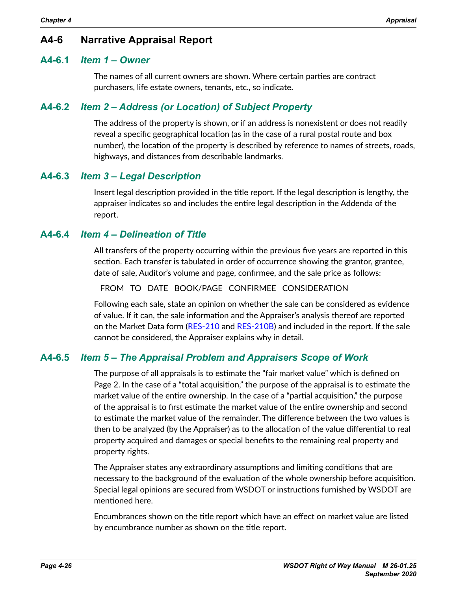## **A4-6 Narrative Appraisal Report**

### **A4-6.1** *Item 1 – Owner*

The names of all current owners are shown. Where certain parties are contract purchasers, life estate owners, tenants, etc., so indicate.

## **A4-6.2** *Item 2 – Address (or Location) of Subject Property*

The address of the property is shown, or if an address is nonexistent or does not readily reveal a specific geographical location (as in the case of a rural postal route and box number), the location of the property is described by reference to names of streets, roads, highways, and distances from describable landmarks.

## **A4-6.3** *Item 3 – Legal Description*

Insert legal description provided in the title report. If the legal description is lengthy, the appraiser indicates so and includes the entire legal description in the Addenda of the report.

## **A4-6.4** *Item 4 – Delineation of Title*

All transfers of the property occurring within the previous five years are reported in this section. Each transfer is tabulated in order of occurrence showing the grantor, grantee, date of sale, Auditor's volume and page, confirmee, and the sale price as follows:

FROM TO DATE BOOK/PAGE CONFIRMEE CONSIDERATION

Following each sale, state an opinion on whether the sale can be considered as evidence of value. If it can, the sale information and the Appraiser's analysis thereof are reported on the Market Data form ([RES-210](http://www.wsdot.wa.gov/RealEstate/forms/Appraisal/default.htm) and [RES-210B](http://www.wsdot.wa.gov/RealEstate/forms/Appraisal/default.htm)) and included in the report. If the sale cannot be considered, the Appraiser explains why in detail.

## **A4-6.5** *Item 5 – The Appraisal Problem and Appraisers Scope of Work*

The purpose of all appraisals is to estimate the "fair market value" which is defined on Page 2. In the case of a "total acquisition," the purpose of the appraisal is to estimate the market value of the entire ownership. In the case of a "partial acquisition," the purpose of the appraisal is to first estimate the market value of the entire ownership and second to estimate the market value of the remainder. The difference between the two values is then to be analyzed (by the Appraiser) as to the allocation of the value differential to real property acquired and damages or special benefits to the remaining real property and property rights.

The Appraiser states any extraordinary assumptions and limiting conditions that are necessary to the background of the evaluation of the whole ownership before acquisition. Special legal opinions are secured from WSDOT or instructions furnished by WSDOT are mentioned here.

Encumbrances shown on the title report which have an effect on market value are listed by encumbrance number as shown on the title report.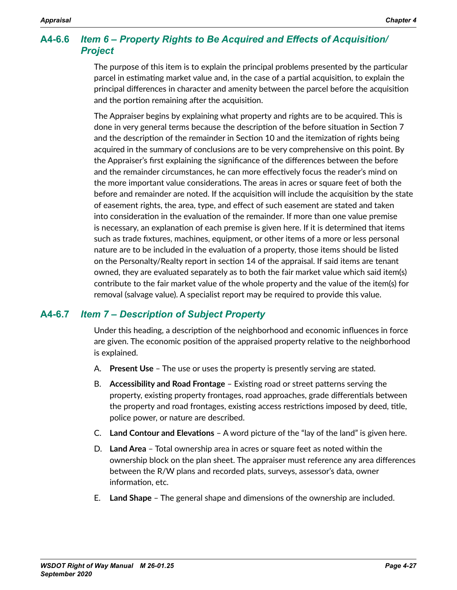## **A4-6.6** *Item 6 – Property Rights to Be Acquired and Effects of Acquisition/ Project*

The purpose of this item is to explain the principal problems presented by the particular parcel in estimating market value and, in the case of a partial acquisition, to explain the principal differences in character and amenity between the parcel before the acquisition and the portion remaining after the acquisition.

The Appraiser begins by explaining what property and rights are to be acquired. This is done in very general terms because the description of the before situation in Section 7 and the description of the remainder in Section 10 and the itemization of rights being acquired in the summary of conclusions are to be very comprehensive on this point. By the Appraiser's first explaining the significance of the differences between the before and the remainder circumstances, he can more effectively focus the reader's mind on the more important value considerations. The areas in acres or square feet of both the before and remainder are noted. If the acquisition will include the acquisition by the state of easement rights, the area, type, and effect of such easement are stated and taken into consideration in the evaluation of the remainder. If more than one value premise is necessary, an explanation of each premise is given here. If it is determined that items such as trade fixtures, machines, equipment, or other items of a more or less personal nature are to be included in the evaluation of a property, those items should be listed on the Personalty/Realty report in section 14 of the appraisal. If said items are tenant owned, they are evaluated separately as to both the fair market value which said item(s) contribute to the fair market value of the whole property and the value of the item(s) for removal (salvage value). A specialist report may be required to provide this value.

## **A4-6.7** *Item 7 – Description of Subject Property*

Under this heading, a description of the neighborhood and economic influences in force are given. The economic position of the appraised property relative to the neighborhood is explained.

- A. **Present Use**  The use or uses the property is presently serving are stated.
- B. **Accessibility and Road Frontage** Existing road or street patterns serving the property, existing property frontages, road approaches, grade differentials between the property and road frontages, existing access restrictions imposed by deed, title, police power, or nature are described.
- C. **Land Contour and Elevations** A word picture of the "lay of the land" is given here.
- D. **Land Area** Total ownership area in acres or square feet as noted within the ownership block on the plan sheet. The appraiser must reference any area differences between the R/W plans and recorded plats, surveys, assessor's data, owner information, etc.
- E. **Land Shape** The general shape and dimensions of the ownership are included.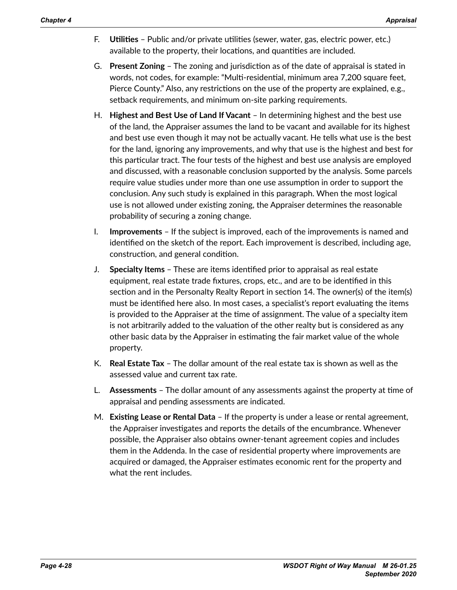- F. **Utilities** Public and/or private utilities (sewer, water, gas, electric power, etc.) available to the property, their locations, and quantities are included.
- G. **Present Zoning** The zoning and jurisdiction as of the date of appraisal is stated in words, not codes, for example: "Multi-residential, minimum area 7,200 square feet, Pierce County." Also, any restrictions on the use of the property are explained, e.g., setback requirements, and minimum on-site parking requirements.
- H. **Highest and Best Use of Land If Vacant** In determining highest and the best use of the land, the Appraiser assumes the land to be vacant and available for its highest and best use even though it may not be actually vacant. He tells what use is the best for the land, ignoring any improvements, and why that use is the highest and best for this particular tract. The four tests of the highest and best use analysis are employed and discussed, with a reasonable conclusion supported by the analysis. Some parcels require value studies under more than one use assumption in order to support the conclusion. Any such study is explained in this paragraph. When the most logical use is not allowed under existing zoning, the Appraiser determines the reasonable probability of securing a zoning change.
- I. **Improvements** If the subject is improved, each of the improvements is named and identified on the sketch of the report. Each improvement is described, including age, construction, and general condition.
- J. **Specialty Items**  These are items identified prior to appraisal as real estate equipment, real estate trade fixtures, crops, etc., and are to be identified in this section and in the Personalty Realty Report in section 14. The owner(s) of the item(s) must be identified here also. In most cases, a specialist's report evaluating the items is provided to the Appraiser at the time of assignment. The value of a specialty item is not arbitrarily added to the valuation of the other realty but is considered as any other basic data by the Appraiser in estimating the fair market value of the whole property.
- K. **Real Estate Tax** The dollar amount of the real estate tax is shown as well as the assessed value and current tax rate.
- L. **Assessments** The dollar amount of any assessments against the property at time of appraisal and pending assessments are indicated.
- M. **Existing Lease or Rental Data** If the property is under a lease or rental agreement, the Appraiser investigates and reports the details of the encumbrance. Whenever possible, the Appraiser also obtains owner-tenant agreement copies and includes them in the Addenda. In the case of residential property where improvements are acquired or damaged, the Appraiser estimates economic rent for the property and what the rent includes.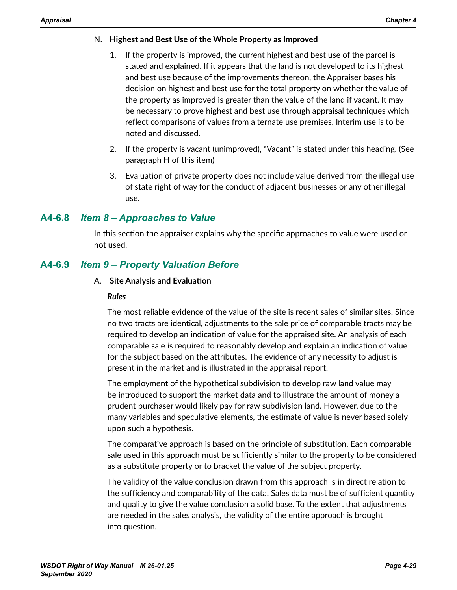### N. **Highest and Best Use of the Whole Property as Improved**

- If the property is improved, the current highest and best use of the parcel is stated and explained. If it appears that the land is not developed to its highest and best use because of the improvements thereon, the Appraiser bases his decision on highest and best use for the total property on whether the value of the property as improved is greater than the value of the land if vacant. It may be necessary to prove highest and best use through appraisal techniques which reflect comparisons of values from alternate use premises. Interim use is to be noted and discussed.
- 2. If the property is vacant (unimproved), "Vacant" is stated under this heading. (See paragraph H of this item)
- 3. Evaluation of private property does not include value derived from the illegal use of state right of way for the conduct of adjacent businesses or any other illegal use.

## **A4-6.8** *Item 8 – Approaches to Value*

In this section the appraiser explains why the specific approaches to value were used or not used.

## **A4-6.9** *Item 9 – Property Valuation Before*

### A. **Site Analysis and Evaluation**

#### *Rules*

The most reliable evidence of the value of the site is recent sales of similar sites. Since no two tracts are identical, adjustments to the sale price of comparable tracts may be required to develop an indication of value for the appraised site. An analysis of each comparable sale is required to reasonably develop and explain an indication of value for the subject based on the attributes. The evidence of any necessity to adjust is present in the market and is illustrated in the appraisal report.

The employment of the hypothetical subdivision to develop raw land value may be introduced to support the market data and to illustrate the amount of money a prudent purchaser would likely pay for raw subdivision land. However, due to the many variables and speculative elements, the estimate of value is never based solely upon such a hypothesis.

The comparative approach is based on the principle of substitution. Each comparable sale used in this approach must be sufficiently similar to the property to be considered as a substitute property or to bracket the value of the subject property.

The validity of the value conclusion drawn from this approach is in direct relation to the sufficiency and comparability of the data. Sales data must be of sufficient quantity and quality to give the value conclusion a solid base. To the extent that adjustments are needed in the sales analysis, the validity of the entire approach is brought into question.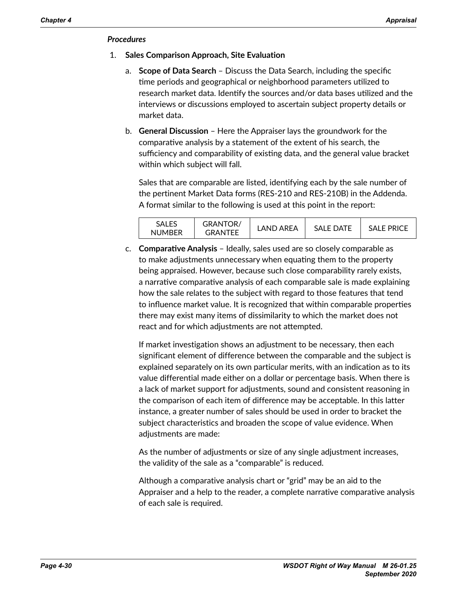#### *Procedures*

- 1. **Sales Comparison Approach, Site Evaluation**
	- a. **Scope of Data Search**  Discuss the Data Search, including the specific time periods and geographical or neighborhood parameters utilized to research market data. Identify the sources and/or data bases utilized and the interviews or discussions employed to ascertain subject property details or market data.
	- b. **General Discussion** Here the Appraiser lays the groundwork for the comparative analysis by a statement of the extent of his search, the sufficiency and comparability of existing data, and the general value bracket within which subject will fall.

Sales that are comparable are listed, identifying each by the sale number of the pertinent Market Data forms (RES-210 and RES-210B) in the Addenda. A format similar to the following is used at this point in the report:

| <b>SALES</b>  | <b>GRANTOR/</b> | LAND AREA | <b>SALE DATE</b> | SAI E PRICE |
|---------------|-----------------|-----------|------------------|-------------|
| <b>NUMBER</b> | GRANTFF         |           |                  |             |

c. **Comparative Analysis** – Ideally, sales used are so closely comparable as to make adjustments unnecessary when equating them to the property being appraised. However, because such close comparability rarely exists, a narrative comparative analysis of each comparable sale is made explaining how the sale relates to the subject with regard to those features that tend to influence market value. It is recognized that within comparable properties there may exist many items of dissimilarity to which the market does not react and for which adjustments are not attempted.

If market investigation shows an adjustment to be necessary, then each significant element of difference between the comparable and the subject is explained separately on its own particular merits, with an indication as to its value differential made either on a dollar or percentage basis. When there is a lack of market support for adjustments, sound and consistent reasoning in the comparison of each item of difference may be acceptable. In this latter instance, a greater number of sales should be used in order to bracket the subject characteristics and broaden the scope of value evidence. When adjustments are made:

As the number of adjustments or size of any single adjustment increases, the validity of the sale as a "comparable" is reduced.

Although a comparative analysis chart or "grid" may be an aid to the Appraiser and a help to the reader, a complete narrative comparative analysis of each sale is required.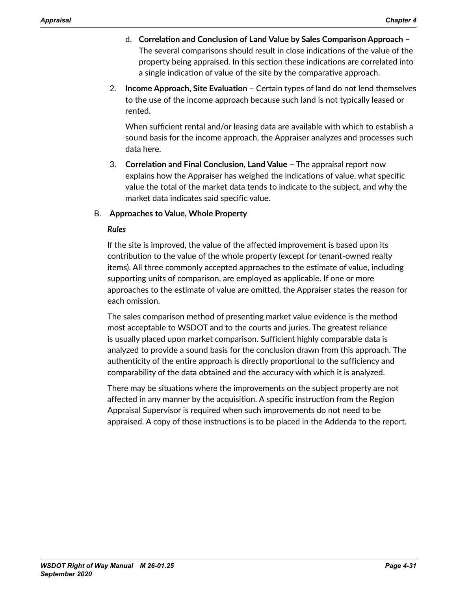- d. **Correlation and Conclusion of Land Value by Sales Comparison Approach** The several comparisons should result in close indications of the value of the property being appraised. In this section these indications are correlated into a single indication of value of the site by the comparative approach.
- 2. **Income Approach, Site Evaluation**  Certain types of land do not lend themselves to the use of the income approach because such land is not typically leased or rented.

When sufficient rental and/or leasing data are available with which to establish a sound basis for the income approach, the Appraiser analyzes and processes such data here.

3. **Correlation and Final Conclusion, Land Value** – The appraisal report now explains how the Appraiser has weighed the indications of value, what specific value the total of the market data tends to indicate to the subject, and why the market data indicates said specific value.

## B. **Approaches to Value, Whole Property**

### *Rules*

If the site is improved, the value of the affected improvement is based upon its contribution to the value of the whole property (except for tenant-owned realty items). All three commonly accepted approaches to the estimate of value, including supporting units of comparison, are employed as applicable. If one or more approaches to the estimate of value are omitted, the Appraiser states the reason for each omission.

The sales comparison method of presenting market value evidence is the method most acceptable to WSDOT and to the courts and juries. The greatest reliance is usually placed upon market comparison. Sufficient highly comparable data is analyzed to provide a sound basis for the conclusion drawn from this approach. The authenticity of the entire approach is directly proportional to the sufficiency and comparability of the data obtained and the accuracy with which it is analyzed.

There may be situations where the improvements on the subject property are not affected in any manner by the acquisition. A specific instruction from the Region Appraisal Supervisor is required when such improvements do not need to be appraised. A copy of those instructions is to be placed in the Addenda to the report.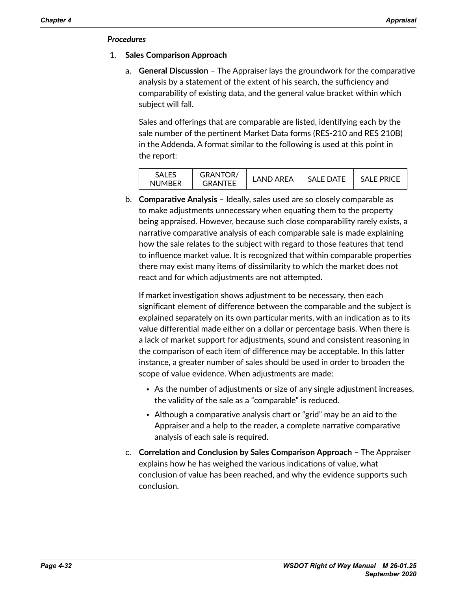### *Procedures*

- 1. **Sales Comparison Approach**
	- a. **General Discussion** The Appraiser lays the groundwork for the comparative analysis by a statement of the extent of his search, the sufficiency and comparability of existing data, and the general value bracket within which subject will fall.

Sales and offerings that are comparable are listed, identifying each by the sale number of the pertinent Market Data forms (RES-210 and RES 210B) in the Addenda. A format similar to the following is used at this point in the report:

| SALES<br><b>NUMBER</b> | <b>GRANTOR/</b><br>GRANTFF | I AND ARFA | <b>SALE DATE</b> | SALE PRICE |
|------------------------|----------------------------|------------|------------------|------------|
|                        |                            |            |                  |            |

b. **Comparative Analysis** – Ideally, sales used are so closely comparable as to make adjustments unnecessary when equating them to the property being appraised. However, because such close comparability rarely exists, a narrative comparative analysis of each comparable sale is made explaining how the sale relates to the subject with regard to those features that tend to influence market value. It is recognized that within comparable properties there may exist many items of dissimilarity to which the market does not react and for which adjustments are not attempted.

If market investigation shows adjustment to be necessary, then each significant element of difference between the comparable and the subject is explained separately on its own particular merits, with an indication as to its value differential made either on a dollar or percentage basis. When there is a lack of market support for adjustments, sound and consistent reasoning in the comparison of each item of difference may be acceptable. In this latter instance, a greater number of sales should be used in order to broaden the scope of value evidence. When adjustments are made:

- As the number of adjustments or size of any single adjustment increases, the validity of the sale as a "comparable" is reduced.
- Although a comparative analysis chart or "grid" may be an aid to the Appraiser and a help to the reader, a complete narrative comparative analysis of each sale is required.
- c. **Correlation and Conclusion by Sales Comparison Approach**  The Appraiser explains how he has weighed the various indications of value, what conclusion of value has been reached, and why the evidence supports such conclusion.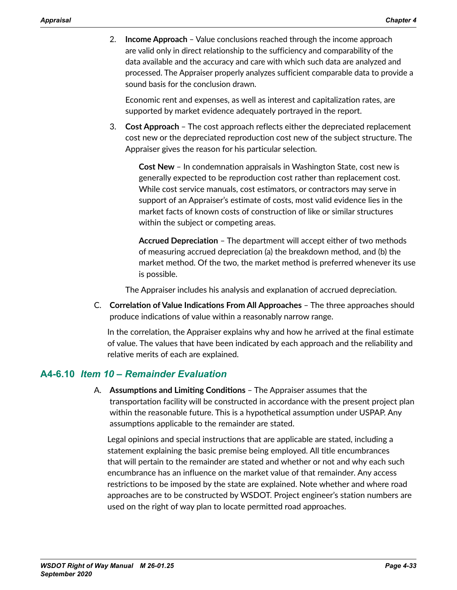2. **Income Approach** – Value conclusions reached through the income approach are valid only in direct relationship to the sufficiency and comparability of the data available and the accuracy and care with which such data are analyzed and processed. The Appraiser properly analyzes sufficient comparable data to provide a sound basis for the conclusion drawn.

Economic rent and expenses, as well as interest and capitalization rates, are supported by market evidence adequately portrayed in the report.

3. **Cost Approach** – The cost approach reflects either the depreciated replacement cost new or the depreciated reproduction cost new of the subject structure. The Appraiser gives the reason for his particular selection.

**Cost New** – In condemnation appraisals in Washington State, cost new is generally expected to be reproduction cost rather than replacement cost. While cost service manuals, cost estimators, or contractors may serve in support of an Appraiser's estimate of costs, most valid evidence lies in the market facts of known costs of construction of like or similar structures within the subject or competing areas.

**Accrued Depreciation** – The department will accept either of two methods of measuring accrued depreciation (a) the breakdown method, and (b) the market method. Of the two, the market method is preferred whenever its use is possible.

The Appraiser includes his analysis and explanation of accrued depreciation.

C. **Correlation of Value Indications From All Approaches** – The three approaches should produce indications of value within a reasonably narrow range.

In the correlation, the Appraiser explains why and how he arrived at the final estimate of value. The values that have been indicated by each approach and the reliability and relative merits of each are explained.

## **A4-6.10** *Item 10 – Remainder Evaluation*

A. **Assumptions and Limiting Conditions** – The Appraiser assumes that the transportation facility will be constructed in accordance with the present project plan within the reasonable future. This is a hypothetical assumption under USPAP. Any assumptions applicable to the remainder are stated.

Legal opinions and special instructions that are applicable are stated, including a statement explaining the basic premise being employed. All title encumbrances that will pertain to the remainder are stated and whether or not and why each such encumbrance has an influence on the market value of that remainder. Any access restrictions to be imposed by the state are explained. Note whether and where road approaches are to be constructed by WSDOT. Project engineer's station numbers are used on the right of way plan to locate permitted road approaches.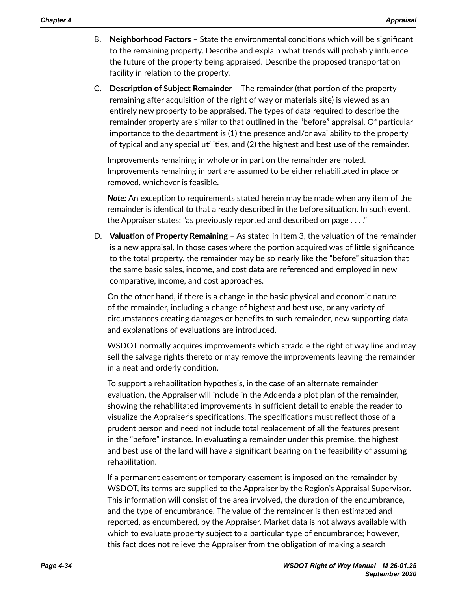- B. **Neighborhood Factors**  State the environmental conditions which will be significant to the remaining property. Describe and explain what trends will probably influence the future of the property being appraised. Describe the proposed transportation facility in relation to the property.
- C. **Description of Subject Remainder** The remainder (that portion of the property remaining after acquisition of the right of way or materials site) is viewed as an entirely new property to be appraised. The types of data required to describe the remainder property are similar to that outlined in the "before" appraisal. Of particular importance to the department is (1) the presence and/or availability to the property of typical and any special utilities, and (2) the highest and best use of the remainder.

Improvements remaining in whole or in part on the remainder are noted. Improvements remaining in part are assumed to be either rehabilitated in place or removed, whichever is feasible.

*Note:* An exception to requirements stated herein may be made when any item of the remainder is identical to that already described in the before situation. In such event, the Appraiser states: "as previously reported and described on page . . . ."

D. **Valuation of Property Remaining** – As stated in Item 3, the valuation of the remainder is a new appraisal. In those cases where the portion acquired was of little significance to the total property, the remainder may be so nearly like the "before" situation that the same basic sales, income, and cost data are referenced and employed in new comparative, income, and cost approaches.

On the other hand, if there is a change in the basic physical and economic nature of the remainder, including a change of highest and best use, or any variety of circumstances creating damages or benefits to such remainder, new supporting data and explanations of evaluations are introduced.

WSDOT normally acquires improvements which straddle the right of way line and may sell the salvage rights thereto or may remove the improvements leaving the remainder in a neat and orderly condition.

To support a rehabilitation hypothesis, in the case of an alternate remainder evaluation, the Appraiser will include in the Addenda a plot plan of the remainder, showing the rehabilitated improvements in sufficient detail to enable the reader to visualize the Appraiser's specifications. The specifications must reflect those of a prudent person and need not include total replacement of all the features present in the "before" instance. In evaluating a remainder under this premise, the highest and best use of the land will have a significant bearing on the feasibility of assuming rehabilitation.

If a permanent easement or temporary easement is imposed on the remainder by WSDOT, its terms are supplied to the Appraiser by the Region's Appraisal Supervisor. This information will consist of the area involved, the duration of the encumbrance, and the type of encumbrance. The value of the remainder is then estimated and reported, as encumbered, by the Appraiser. Market data is not always available with which to evaluate property subject to a particular type of encumbrance; however, this fact does not relieve the Appraiser from the obligation of making a search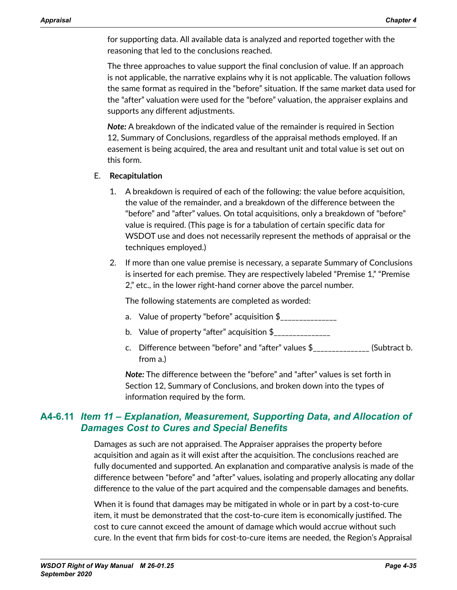for supporting data. All available data is analyzed and reported together with the reasoning that led to the conclusions reached.

The three approaches to value support the final conclusion of value. If an approach is not applicable, the narrative explains why it is not applicable. The valuation follows the same format as required in the "before" situation. If the same market data used for the "after" valuation were used for the "before" valuation, the appraiser explains and supports any different adjustments.

*Note:* A breakdown of the indicated value of the remainder is required in Section 12, Summary of Conclusions, regardless of the appraisal methods employed. If an easement is being acquired, the area and resultant unit and total value is set out on this form.

### E. **Recapitulation**

- 1. A breakdown is required of each of the following: the value before acquisition, the value of the remainder, and a breakdown of the difference between the "before" and "after" values. On total acquisitions, only a breakdown of "before" value is required. (This page is for a tabulation of certain specific data for WSDOT use and does not necessarily represent the methods of appraisal or the techniques employed.)
- 2. If more than one value premise is necessary, a separate Summary of Conclusions is inserted for each premise. They are respectively labeled "Premise 1," "Premise 2," etc., in the lower right-hand corner above the parcel number.

The following statements are completed as worded:

- a. Value of property "before" acquisition \$
- b. Value of property "after" acquisition  $$$
- c. Difference between "before" and "after" values  $\frac{1}{2}$  [Subtract b. from a.)

*Note:* The difference between the "before" and "after" values is set forth in Section 12, Summary of Conclusions, and broken down into the types of information required by the form.

## **A4-6.11** *Item 11 – Explanation, Measurement, Supporting Data, and Allocation of Damages Cost to Cures and Special Benefits*

Damages as such are not appraised. The Appraiser appraises the property before acquisition and again as it will exist after the acquisition. The conclusions reached are fully documented and supported. An explanation and comparative analysis is made of the difference between "before" and "after" values, isolating and properly allocating any dollar difference to the value of the part acquired and the compensable damages and benefits.

When it is found that damages may be mitigated in whole or in part by a cost-to-cure item, it must be demonstrated that the cost-to-cure item is economically justified. The cost to cure cannot exceed the amount of damage which would accrue without such cure. In the event that firm bids for cost-to-cure items are needed, the Region's Appraisal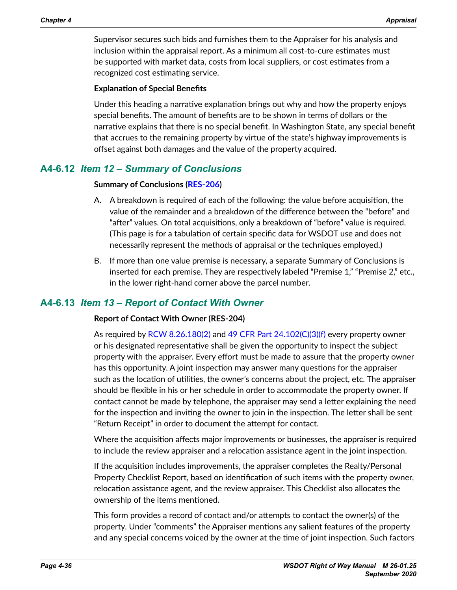Supervisor secures such bids and furnishes them to the Appraiser for his analysis and inclusion within the appraisal report. As a minimum all cost-to-cure estimates must be supported with market data, costs from local suppliers, or cost estimates from a recognized cost estimating service.

#### **Explanation of Special Benefits**

Under this heading a narrative explanation brings out why and how the property enjoys special benefits. The amount of benefits are to be shown in terms of dollars or the narrative explains that there is no special benefit. In Washington State, any special benefit that accrues to the remaining property by virtue of the state's highway improvements is offset against both damages and the value of the property acquired.

## **A4-6.12** *Item 12 – Summary of Conclusions*

#### **Summary of Conclusions ([RES-206](http://www.wsdot.wa.gov/RealEstate/forms/Appraisal/default.htm))**

- A. A breakdown is required of each of the following: the value before acquisition, the value of the remainder and a breakdown of the difference between the "before" and "after" values. On total acquisitions, only a breakdown of "before" value is required. (This page is for a tabulation of certain specific data for WSDOT use and does not necessarily represent the methods of appraisal or the techniques employed.)
- B. If more than one value premise is necessary, a separate Summary of Conclusions is inserted for each premise. They are respectively labeled "Premise 1," "Premise 2," etc., in the lower right-hand corner above the parcel number.

## **A4-6.13** *Item 13 – Report of Contact With Owner*

#### **Report of Contact With Owner (RES-204)**

As required by [RCW 8.26.180\(2\)](http://app.leg.wa.gov/RCW/default.aspx?cite=8.26.180) and [49 CFR Part 24.102\(C\)\(3\)\(f\)](http://www.gpo.gov/fdsys/pkg/CFR-2014-title23-vol1/pdf/CFR-2014-title23-vol1-sec710-403.pdf) every property owner or his designated representative shall be given the opportunity to inspect the subject property with the appraiser. Every effort must be made to assure that the property owner has this opportunity. A joint inspection may answer many questions for the appraiser such as the location of utilities, the owner's concerns about the project, etc. The appraiser should be flexible in his or her schedule in order to accommodate the property owner. If contact cannot be made by telephone, the appraiser may send a letter explaining the need for the inspection and inviting the owner to join in the inspection. The letter shall be sent "Return Receipt" in order to document the attempt for contact.

Where the acquisition affects major improvements or businesses, the appraiser is required to include the review appraiser and a relocation assistance agent in the joint inspection.

If the acquisition includes improvements, the appraiser completes the Realty/Personal Property Checklist Report, based on identification of such items with the property owner, relocation assistance agent, and the review appraiser. This Checklist also allocates the ownership of the items mentioned.

This form provides a record of contact and/or attempts to contact the owner(s) of the property. Under "comments" the Appraiser mentions any salient features of the property and any special concerns voiced by the owner at the time of joint inspection. Such factors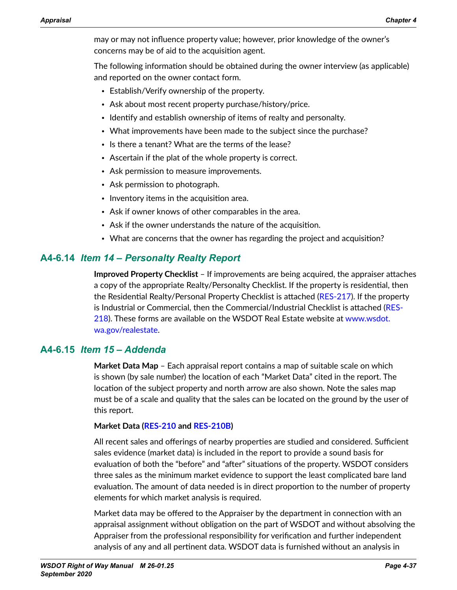may or may not influence property value; however, prior knowledge of the owner's concerns may be of aid to the acquisition agent.

The following information should be obtained during the owner interview (as applicable) and reported on the owner contact form.

- Establish/Verify ownership of the property.
- Ask about most recent property purchase/history/price.
- Identify and establish ownership of items of realty and personalty.
- What improvements have been made to the subject since the purchase?
- Is there a tenant? What are the terms of the lease?
- Ascertain if the plat of the whole property is correct.
- Ask permission to measure improvements.
- Ask permission to photograph.
- Inventory items in the acquisition area.
- Ask if owner knows of other comparables in the area.
- Ask if the owner understands the nature of the acquisition.
- What are concerns that the owner has regarding the project and acquisition?

## **A4-6.14** *Item 14 – Personalty Realty Report*

**Improved Property Checklist** – If improvements are being acquired, the appraiser attaches a copy of the appropriate Realty/Personalty Checklist. If the property is residential, then the Residential Realty/Personal Property Checklist is attached ([RES-217\)](http://www.wsdot.wa.gov/RealEstate/forms/Appraisal/default.htm). If the property is Industrial or Commercial, then the Commercial/Industrial Checklist is attached ([RES-](http://www.wsdot.wa.gov/RealEstate/forms/Appraisal/default.htm)[218](http://www.wsdot.wa.gov/RealEstate/forms/Appraisal/default.htm)). These forms are available on the WSDOT Real Estate website at [www.wsdot.](http://www.wsdot.wa.gov/realestate) [wa.gov/realestate.](http://www.wsdot.wa.gov/realestate)

## **A4-6.15** *Item 15 – Addenda*

**Market Data Map** – Each appraisal report contains a map of suitable scale on which is shown (by sale number) the location of each "Market Data" cited in the report. The location of the subject property and north arrow are also shown. Note the sales map must be of a scale and quality that the sales can be located on the ground by the user of this report.

## **Market Data ([RES-210](http://www.wsdot.wa.gov/RealEstate/forms/Appraisal/default.htm) and [RES-210B](http://www.wsdot.wa.gov/RealEstate/forms/Appraisal/default.htm))**

All recent sales and offerings of nearby properties are studied and considered. Sufficient sales evidence (market data) is included in the report to provide a sound basis for evaluation of both the "before" and "after" situations of the property. WSDOT considers three sales as the minimum market evidence to support the least complicated bare land evaluation. The amount of data needed is in direct proportion to the number of property elements for which market analysis is required.

Market data may be offered to the Appraiser by the department in connection with an appraisal assignment without obligation on the part of WSDOT and without absolving the Appraiser from the professional responsibility for verification and further independent analysis of any and all pertinent data. WSDOT data is furnished without an analysis in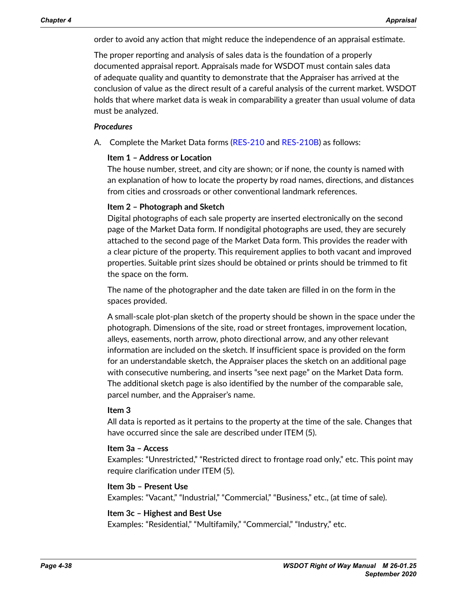order to avoid any action that might reduce the independence of an appraisal estimate.

The proper reporting and analysis of sales data is the foundation of a properly documented appraisal report. Appraisals made for WSDOT must contain sales data of adequate quality and quantity to demonstrate that the Appraiser has arrived at the conclusion of value as the direct result of a careful analysis of the current market. WSDOT holds that where market data is weak in comparability a greater than usual volume of data must be analyzed.

#### *Procedures*

A. Complete the Market Data forms ([RES-210](http://www.wsdot.wa.gov/RealEstate/forms/Appraisal/default.htm) and [RES-210B](http://www.wsdot.wa.gov/RealEstate/forms/Appraisal/default.htm)) as follows:

#### **Item 1 – Address or Location**

The house number, street, and city are shown; or if none, the county is named with an explanation of how to locate the property by road names, directions, and distances from cities and crossroads or other conventional landmark references.

#### **Item 2 – Photograph and Sketch**

Digital photographs of each sale property are inserted electronically on the second page of the Market Data form. If nondigital photographs are used, they are securely attached to the second page of the Market Data form. This provides the reader with a clear picture of the property. This requirement applies to both vacant and improved properties. Suitable print sizes should be obtained or prints should be trimmed to fit the space on the form.

The name of the photographer and the date taken are filled in on the form in the spaces provided.

A small-scale plot-plan sketch of the property should be shown in the space under the photograph. Dimensions of the site, road or street frontages, improvement location, alleys, easements, north arrow, photo directional arrow, and any other relevant information are included on the sketch. If insufficient space is provided on the form for an understandable sketch, the Appraiser places the sketch on an additional page with consecutive numbering, and inserts "see next page" on the Market Data form. The additional sketch page is also identified by the number of the comparable sale, parcel number, and the Appraiser's name.

#### **Item 3**

All data is reported as it pertains to the property at the time of the sale. Changes that have occurred since the sale are described under ITEM (5).

#### **Item 3a – Access**

Examples: "Unrestricted," "Restricted direct to frontage road only," etc. This point may require clarification under ITEM (5).

#### **Item 3b – Present Use**

Examples: "Vacant," "Industrial," "Commercial," "Business," etc., (at time of sale).

#### **Item 3c – Highest and Best Use**

Examples: "Residential," "Multifamily," "Commercial," "Industry," etc.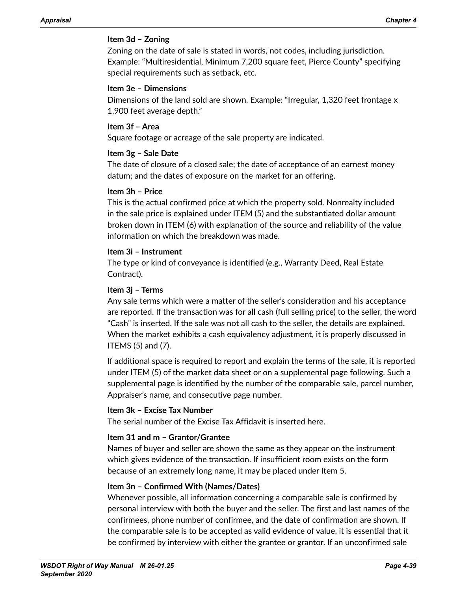### **Item 3d – Zoning**

Zoning on the date of sale is stated in words, not codes, including jurisdiction. Example: "Multiresidential, Minimum 7,200 square feet, Pierce County" specifying special requirements such as setback, etc.

#### **Item 3e – Dimensions**

Dimensions of the land sold are shown. Example: "Irregular, 1,320 feet frontage x 1,900 feet average depth."

### **Item 3f – Area**

Square footage or acreage of the sale property are indicated.

### **Item 3g – Sale Date**

The date of closure of a closed sale; the date of acceptance of an earnest money datum; and the dates of exposure on the market for an offering.

### **Item 3h – Price**

This is the actual confirmed price at which the property sold. Nonrealty included in the sale price is explained under ITEM (5) and the substantiated dollar amount broken down in ITEM (6) with explanation of the source and reliability of the value information on which the breakdown was made.

### **Item 3i – Instrument**

The type or kind of conveyance is identified (e.g., Warranty Deed, Real Estate Contract).

### **Item 3j – Terms**

Any sale terms which were a matter of the seller's consideration and his acceptance are reported. If the transaction was for all cash (full selling price) to the seller, the word "Cash" is inserted. If the sale was not all cash to the seller, the details are explained. When the market exhibits a cash equivalency adjustment, it is properly discussed in ITEMS (5) and (7).

If additional space is required to report and explain the terms of the sale, it is reported under ITEM (5) of the market data sheet or on a supplemental page following. Such a supplemental page is identified by the number of the comparable sale, parcel number, Appraiser's name, and consecutive page number.

### **Item 3k – Excise Tax Number**

The serial number of the Excise Tax Affidavit is inserted here.

### **Item 31 and m – Grantor/Grantee**

Names of buyer and seller are shown the same as they appear on the instrument which gives evidence of the transaction. If insufficient room exists on the form because of an extremely long name, it may be placed under Item 5.

### **Item 3n – Confirmed With (Names/Dates)**

Whenever possible, all information concerning a comparable sale is confirmed by personal interview with both the buyer and the seller. The first and last names of the confirmees, phone number of confirmee, and the date of confirmation are shown. If the comparable sale is to be accepted as valid evidence of value, it is essential that it be confirmed by interview with either the grantee or grantor. If an unconfirmed sale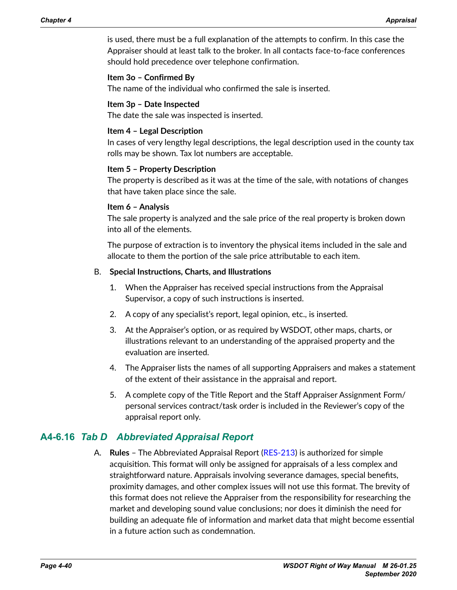is used, there must be a full explanation of the attempts to confirm. In this case the Appraiser should at least talk to the broker. In all contacts face-to-face conferences should hold precedence over telephone confirmation.

#### **Item 3o – Confirmed By**

The name of the individual who confirmed the sale is inserted.

#### **Item 3p – Date Inspected**

The date the sale was inspected is inserted.

#### **Item 4 – Legal Description**

In cases of very lengthy legal descriptions, the legal description used in the county tax rolls may be shown. Tax lot numbers are acceptable.

#### **Item 5 – Property Description**

The property is described as it was at the time of the sale, with notations of changes that have taken place since the sale.

#### **Item 6 – Analysis**

The sale property is analyzed and the sale price of the real property is broken down into all of the elements.

The purpose of extraction is to inventory the physical items included in the sale and allocate to them the portion of the sale price attributable to each item.

### B. **Special Instructions, Charts, and Illustrations**

- 1. When the Appraiser has received special instructions from the Appraisal Supervisor, a copy of such instructions is inserted.
- 2. A copy of any specialist's report, legal opinion, etc., is inserted.
- 3. At the Appraiser's option, or as required by WSDOT, other maps, charts, or illustrations relevant to an understanding of the appraised property and the evaluation are inserted.
- 4. The Appraiser lists the names of all supporting Appraisers and makes a statement of the extent of their assistance in the appraisal and report.
- 5. A complete copy of the Title Report and the Staff Appraiser Assignment Form/ personal services contract/task order is included in the Reviewer's copy of the appraisal report only.

## **A4-6.16** *Tab D Abbreviated Appraisal Report*

A. **Rules** – The Abbreviated Appraisal Report [\(RES-213\)](http://www.wsdot.wa.gov/RealEstate/forms/Appraisal/default.htm) is authorized for simple acquisition. This format will only be assigned for appraisals of a less complex and straightforward nature. Appraisals involving severance damages, special benefits, proximity damages, and other complex issues will not use this format. The brevity of this format does not relieve the Appraiser from the responsibility for researching the market and developing sound value conclusions; nor does it diminish the need for building an adequate file of information and market data that might become essential in a future action such as condemnation.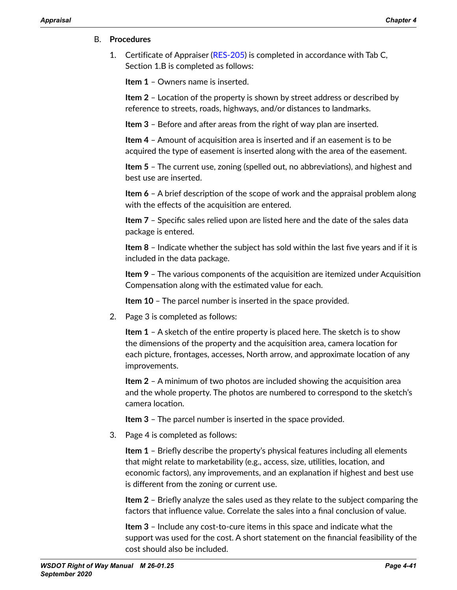#### B. **Procedures**

1. Certificate of Appraiser [\(RES-205\)](http://www.wsdot.wa.gov/RealEstate/forms/Appraisal/default.htm) is completed in accordance with Tab C, Section 1.B is completed as follows:

**Item 1** – Owners name is inserted.

**Item 2** – Location of the property is shown by street address or described by reference to streets, roads, highways, and/or distances to landmarks.

**Item 3** – Before and after areas from the right of way plan are inserted.

**Item 4** – Amount of acquisition area is inserted and if an easement is to be acquired the type of easement is inserted along with the area of the easement.

**Item 5** – The current use, zoning (spelled out, no abbreviations), and highest and best use are inserted.

**Item 6** – A brief description of the scope of work and the appraisal problem along with the effects of the acquisition are entered.

**Item 7** – Specific sales relied upon are listed here and the date of the sales data package is entered.

**Item 8** – Indicate whether the subject has sold within the last five years and if it is included in the data package.

**Item 9** – The various components of the acquisition are itemized under Acquisition Compensation along with the estimated value for each.

**Item 10** – The parcel number is inserted in the space provided.

2. Page 3 is completed as follows:

**Item 1** – A sketch of the entire property is placed here. The sketch is to show the dimensions of the property and the acquisition area, camera location for each picture, frontages, accesses, North arrow, and approximate location of any improvements.

**Item 2** – A minimum of two photos are included showing the acquisition area and the whole property. The photos are numbered to correspond to the sketch's camera location.

**Item 3** – The parcel number is inserted in the space provided.

3. Page 4 is completed as follows:

**Item 1** – Briefly describe the property's physical features including all elements that might relate to marketability (e.g., access, size, utilities, location, and economic factors), any improvements, and an explanation if highest and best use is different from the zoning or current use.

**Item 2** – Briefly analyze the sales used as they relate to the subject comparing the factors that influence value. Correlate the sales into a final conclusion of value.

**Item 3** – Include any cost-to-cure items in this space and indicate what the support was used for the cost. A short statement on the financial feasibility of the cost should also be included.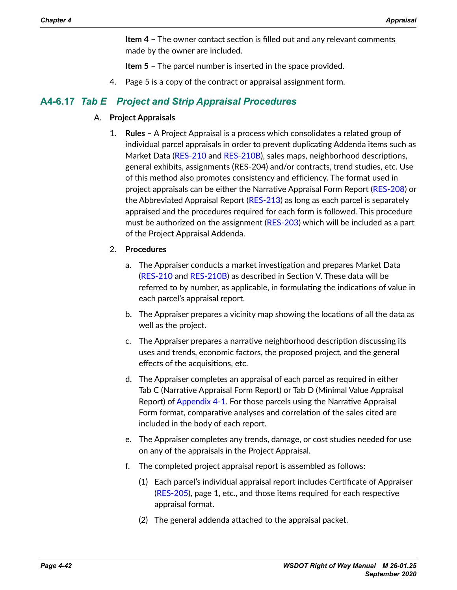**Item 4** – The owner contact section is filled out and any relevant comments made by the owner are included.

**Item 5** – The parcel number is inserted in the space provided.

4. Page 5 is a copy of the contract or appraisal assignment form.

## **A4-6.17** *Tab E Project and Strip Appraisal Procedures*

#### A. **Project Appraisals**

- 1. **Rules** A Project Appraisal is a process which consolidates a related group of individual parcel appraisals in order to prevent duplicating Addenda items such as Market Data [\(RES-210](http://www.wsdot.wa.gov/RealEstate/forms/Appraisal/default.htm) and [RES-210B](http://www.wsdot.wa.gov/RealEstate/forms/Appraisal/default.htm)), sales maps, neighborhood descriptions, general exhibits, assignments (RES-204) and/or contracts, trend studies, etc. Use of this method also promotes consistency and efficiency. The format used in project appraisals can be either the Narrative Appraisal Form Report ([RES-208](http://www.wsdot.wa.gov/RealEstate/forms/Appraisal/default.htm)) or the Abbreviated Appraisal Report [\(RES-213\)](http://www.wsdot.wa.gov/RealEstate/forms/Appraisal/default.htm) as long as each parcel is separately appraised and the procedures required for each form is followed. This procedure must be authorized on the assignment ([RES-203](http://www.wsdot.wa.gov/RealEstate/forms/Appraisal/default.htm)) which will be included as a part of the Project Appraisal Addenda.
- 2. **Procedures**
	- a. The Appraiser conducts a market investigation and prepares Market Data ([RES-210](http://www.wsdot.wa.gov/RealEstate/forms/Appraisal/default.htm) and [RES-210B](http://www.wsdot.wa.gov/RealEstate/forms/Appraisal/default.htm)) as described in Section V. These data will be referred to by number, as applicable, in formulating the indications of value in each parcel's appraisal report.
	- b. The Appraiser prepares a vicinity map showing the locations of all the data as well as the project.
	- c. The Appraiser prepares a narrative neighborhood description discussing its uses and trends, economic factors, the proposed project, and the general effects of the acquisitions, etc.
	- d. The Appraiser completes an appraisal of each parcel as required in either Tab C (Narrative Appraisal Form Report) or Tab D (Minimal Value Appraisal Report) of [Appendix 4-1](#page-10-0). For those parcels using the Narrative Appraisal Form format, comparative analyses and correlation of the sales cited are included in the body of each report.
	- e. The Appraiser completes any trends, damage, or cost studies needed for use on any of the appraisals in the Project Appraisal.
	- f. The completed project appraisal report is assembled as follows:
		- (1) Each parcel's individual appraisal report includes Certificate of Appraiser ([RES-205](http://www.wsdot.wa.gov/RealEstate/forms/Appraisal/default.htm)), page 1, etc., and those items required for each respective appraisal format.
		- (2) The general addenda attached to the appraisal packet.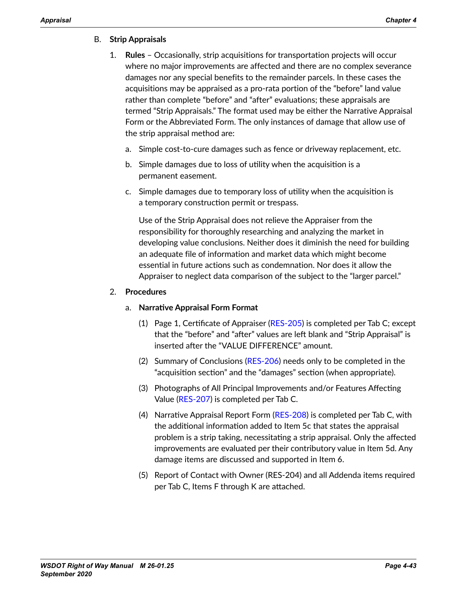### B. **Strip Appraisals**

- 1. **Rules** Occasionally, strip acquisitions for transportation projects will occur where no major improvements are affected and there are no complex severance damages nor any special benefits to the remainder parcels. In these cases the acquisitions may be appraised as a pro-rata portion of the "before" land value rather than complete "before" and "after" evaluations; these appraisals are termed "Strip Appraisals." The format used may be either the Narrative Appraisal Form or the Abbreviated Form. The only instances of damage that allow use of the strip appraisal method are:
	- a. Simple cost-to-cure damages such as fence or driveway replacement, etc.
	- b. Simple damages due to loss of utility when the acquisition is a permanent easement.
	- c. Simple damages due to temporary loss of utility when the acquisition is a temporary construction permit or trespass.

Use of the Strip Appraisal does not relieve the Appraiser from the responsibility for thoroughly researching and analyzing the market in developing value conclusions. Neither does it diminish the need for building an adequate file of information and market data which might become essential in future actions such as condemnation. Nor does it allow the Appraiser to neglect data comparison of the subject to the "larger parcel."

#### 2. **Procedures**

### a. **Narrative Appraisal Form Format**

- (1) Page 1, Certificate of Appraiser ([RES-205](http://www.wsdot.wa.gov/RealEstate/forms/Appraisal/default.htm)) is completed per Tab C; except that the "before" and "after" values are left blank and "Strip Appraisal" is inserted after the "VALUE DIFFERENCE" amount.
- (2) Summary of Conclusions [\(RES-206\)](http://www.wsdot.wa.gov/RealEstate/forms/Appraisal/default.htm) needs only to be completed in the "acquisition section" and the "damages" section (when appropriate).
- (3) Photographs of All Principal Improvements and/or Features Affecting Value [\(RES-207\)](http://www.wsdot.wa.gov/RealEstate/forms/Appraisal/default.htm) is completed per Tab C.
- (4) Narrative Appraisal Report Form ([RES-208\)](http://www.wsdot.wa.gov/RealEstate/forms/Appraisal/default.htm) is completed per Tab C, with the additional information added to Item 5c that states the appraisal problem is a strip taking, necessitating a strip appraisal. Only the affected improvements are evaluated per their contributory value in Item 5d. Any damage items are discussed and supported in Item 6.
- (5) Report of Contact with Owner (RES-204) and all Addenda items required per Tab C, Items F through K are attached.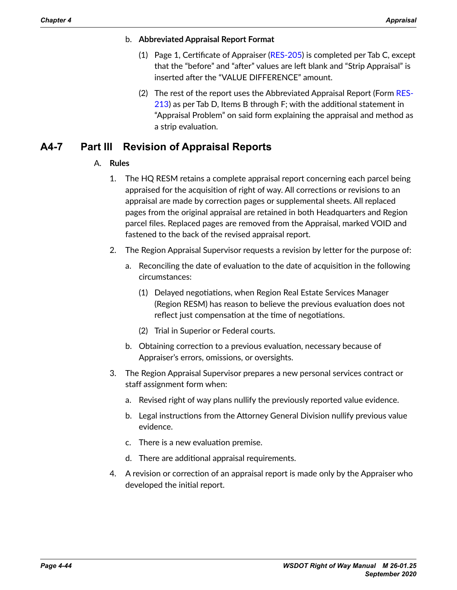- b. **Abbreviated Appraisal Report Format**
	- (1) Page 1, Certificate of Appraiser ([RES-205\)](http://www.wsdot.wa.gov/RealEstate/forms/Appraisal/default.htm) is completed per Tab C, except that the "before" and "after" values are left blank and "Strip Appraisal" is inserted after the "VALUE DIFFERENCE" amount.
	- (2) The rest of the report uses the Abbreviated Appraisal Report (Form [RES-](http://www.wsdot.wa.gov/RealEstate/forms/Appraisal/default.htm)[213](http://www.wsdot.wa.gov/RealEstate/forms/Appraisal/default.htm)) as per Tab D, Items B through F; with the additional statement in "Appraisal Problem" on said form explaining the appraisal and method as a strip evaluation.

## **A4-7 Part III Revision of Appraisal Reports**

### A. **Rules**

- 1. The HQ RESM retains a complete appraisal report concerning each parcel being appraised for the acquisition of right of way. All corrections or revisions to an appraisal are made by correction pages or supplemental sheets. All replaced pages from the original appraisal are retained in both Headquarters and Region parcel files. Replaced pages are removed from the Appraisal, marked VOID and fastened to the back of the revised appraisal report.
- 2. The Region Appraisal Supervisor requests a revision by letter for the purpose of:
	- a. Reconciling the date of evaluation to the date of acquisition in the following circumstances:
		- (1) Delayed negotiations, when Region Real Estate Services Manager (Region RESM) has reason to believe the previous evaluation does not reflect just compensation at the time of negotiations.
		- (2) Trial in Superior or Federal courts.
	- b. Obtaining correction to a previous evaluation, necessary because of Appraiser's errors, omissions, or oversights.
- 3. The Region Appraisal Supervisor prepares a new personal services contract or staff assignment form when:
	- a. Revised right of way plans nullify the previously reported value evidence.
	- b. Legal instructions from the Attorney General Division nullify previous value evidence.
	- c. There is a new evaluation premise.
	- d. There are additional appraisal requirements.
- 4. A revision or correction of an appraisal report is made only by the Appraiser who developed the initial report.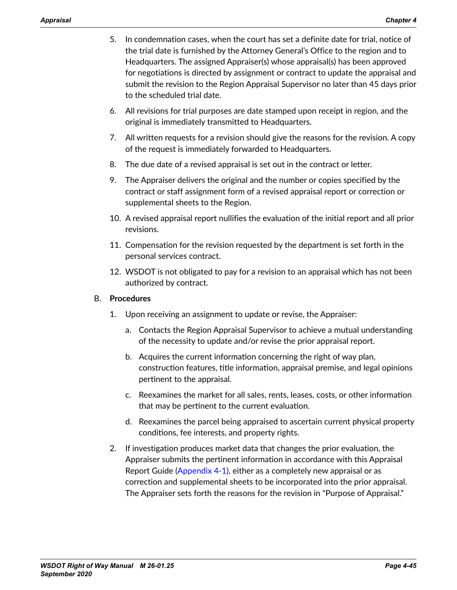- 5. In condemnation cases, when the court has set a definite date for trial, notice of the trial date is furnished by the Attorney General's Office to the region and to Headquarters. The assigned Appraiser(s) whose appraisal(s) has been approved for negotiations is directed by assignment or contract to update the appraisal and submit the revision to the Region Appraisal Supervisor no later than 45 days prior to the scheduled trial date.
- 6. All revisions for trial purposes are date stamped upon receipt in region, and the original is immediately transmitted to Headquarters.
- 7. All written requests for a revision should give the reasons for the revision. A copy of the request is immediately forwarded to Headquarters.
- 8. The due date of a revised appraisal is set out in the contract or letter.
- 9. The Appraiser delivers the original and the number or copies specified by the contract or staff assignment form of a revised appraisal report or correction or supplemental sheets to the Region.
- 10. A revised appraisal report nullifies the evaluation of the initial report and all prior revisions.
- 11. Compensation for the revision requested by the department is set forth in the personal services contract.
- 12. WSDOT is not obligated to pay for a revision to an appraisal which has not been authorized by contract.

### B. **Procedures**

- 1. Upon receiving an assignment to update or revise, the Appraiser:
	- a. Contacts the Region Appraisal Supervisor to achieve a mutual understanding of the necessity to update and/or revise the prior appraisal report.
	- b. Acquires the current information concerning the right of way plan, construction features, title information, appraisal premise, and legal opinions pertinent to the appraisal.
	- c. Reexamines the market for all sales, rents, leases, costs, or other information that may be pertinent to the current evaluation.
	- d. Reexamines the parcel being appraised to ascertain current physical property conditions, fee interests, and property rights.
- 2. If investigation produces market data that changes the prior evaluation, the Appraiser submits the pertinent information in accordance with this Appraisal Report Guide ([Appendix 4-1\)](#page-10-0), either as a completely new appraisal or as correction and supplemental sheets to be incorporated into the prior appraisal. The Appraiser sets forth the reasons for the revision in "Purpose of Appraisal."